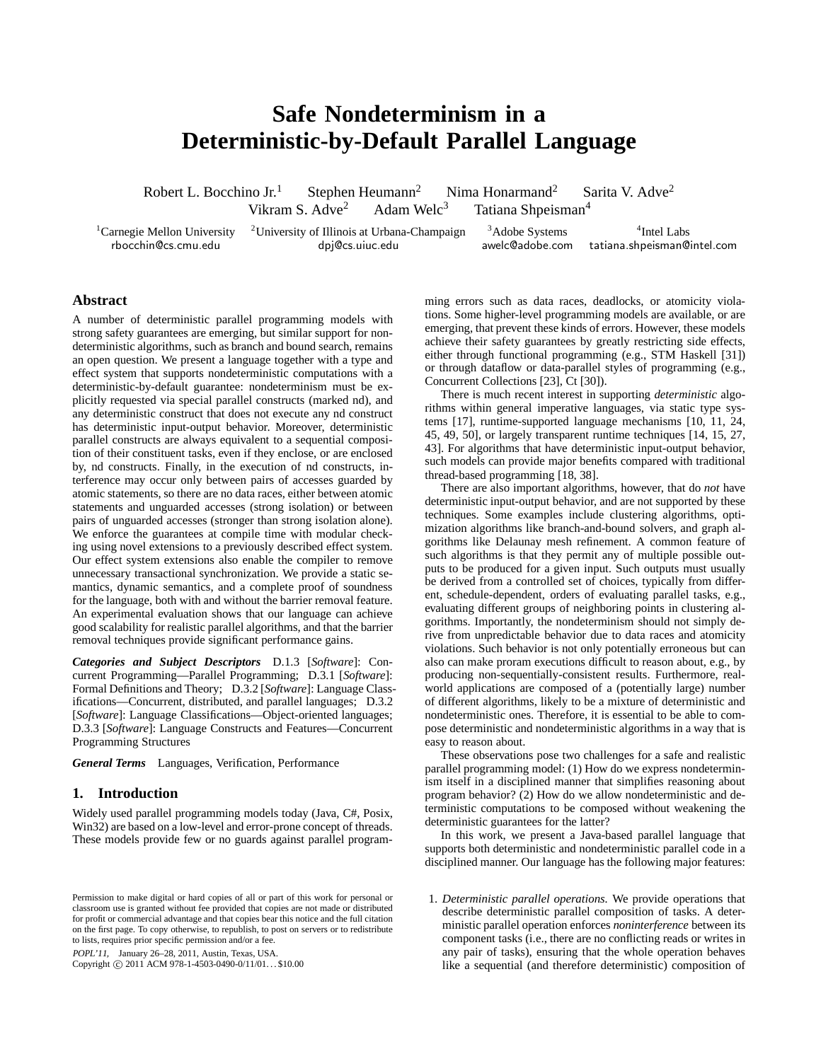# **Safe Nondeterminism in a Deterministic-by-Default Parallel Language**

Robert L. Bocchino Jr.<sup>1</sup> Stephen Heumann<sup>2</sup> Nima Honarmand<sup>2</sup> Sarita V. Adve<sup>2</sup> Vikram S. Adve<sup>2</sup> Adam Welc<sup>3</sup> Tatiana Shpeisman<sup>4</sup> Adam Welc<sup>3</sup> Tatiana Shpeisman<sup>4</sup>

<sup>1</sup>Carnegie Mellon University <sup>2</sup>University of Illinois at Urbana-Champaign <sup>3</sup>Adobe Systems <br>  $\frac{d\phi}{d\phi}$  dpi@cs.uiuc.edu awelc@adobe.com rbocchin@cs.cmu.edu dpj@cs.uiuc.edu awelc@adobe.com tatiana.shpeisman@intel.com

<sup>4</sup>Intel Labs

# **Abstract**

A number of deterministic parallel programming models with strong safety guarantees are emerging, but similar support for nondeterministic algorithms, such as branch and bound search, remains an open question. We present a language together with a type and effect system that supports nondeterministic computations with a deterministic-by-default guarantee: nondeterminism must be explicitly requested via special parallel constructs (marked nd), and any deterministic construct that does not execute any nd construct has deterministic input-output behavior. Moreover, deterministic parallel constructs are always equivalent to a sequential composition of their constituent tasks, even if they enclose, or are enclosed by, nd constructs. Finally, in the execution of nd constructs, interference may occur only between pairs of accesses guarded by atomic statements, so there are no data races, either between atomic statements and unguarded accesses (strong isolation) or between pairs of unguarded accesses (stronger than strong isolation alone). We enforce the guarantees at compile time with modular checking using novel extensions to a previously described effect system. Our effect system extensions also enable the compiler to remove unnecessary transactional synchronization. We provide a static semantics, dynamic semantics, and a complete proof of soundness for the language, both with and without the barrier removal feature. An experimental evaluation shows that our language can achieve good scalability for realistic parallel algorithms, and that the barrier removal techniques provide significant performance gains.

*Categories and Subject Descriptors* D.1.3 [*Software*]: Concurrent Programming—Parallel Programming; D.3.1 [*Software*]: Formal Definitions and Theory; D.3.2 [*Software*]: Language Classifications—Concurrent, distributed, and parallel languages; D.3.2 [*Software*]: Language Classifications—Object-oriented languages; D.3.3 [*Software*]: Language Constructs and Features—Concurrent Programming Structures

*General Terms* Languages, Verification, Performance

# **1. Introduction**

Widely used parallel programming models today (Java, C#, Posix, Win32) are based on a low-level and error-prone concept of threads. These models provide few or no guards against parallel program-

POPL'11, January 26–28, 2011, Austin, Texas, USA.

Copyright © 2011 ACM 978-1-4503-0490-0/11/01... \$10.00

ming errors such as data races, deadlocks, or atomicity violations. Some higher-level programming models are available, or are emerging, that prevent these kinds of errors. However, these models achieve their safety guarantees by greatly restricting side effects, either through functional programming (e.g., STM Haskell [31]) or through dataflow or data-parallel styles of programming (e.g., Concurrent Collections [23], Ct [30]).

There is much recent interest in supporting *deterministic* algorithms within general imperative languages, via static type systems [17], runtime-supported language mechanisms [10, 11, 24, 45, 49, 50], or largely transparent runtime techniques [14, 15, 27, 43]. For algorithms that have deterministic input-output behavior, such models can provide major benefits compared with traditional thread-based programming [18, 38].

There are also important algorithms, however, that do *not* have deterministic input-output behavior, and are not supported by these techniques. Some examples include clustering algorithms, optimization algorithms like branch-and-bound solvers, and graph algorithms like Delaunay mesh refinement. A common feature of such algorithms is that they permit any of multiple possible outputs to be produced for a given input. Such outputs must usually be derived from a controlled set of choices, typically from different, schedule-dependent, orders of evaluating parallel tasks, e.g., evaluating different groups of neighboring points in clustering algorithms. Importantly, the nondeterminism should not simply derive from unpredictable behavior due to data races and atomicity violations. Such behavior is not only potentially erroneous but can also can make proram executions difficult to reason about, e.g., by producing non-sequentially-consistent results. Furthermore, realworld applications are composed of a (potentially large) number of different algorithms, likely to be a mixture of deterministic and nondeterministic ones. Therefore, it is essential to be able to compose deterministic and nondeterministic algorithms in a way that is easy to reason about.

These observations pose two challenges for a safe and realistic parallel programming model: (1) How do we express nondeterminism itself in a disciplined manner that simplifies reasoning about program behavior? (2) How do we allow nondeterministic and deterministic computations to be composed without weakening the deterministic guarantees for the latter?

In this work, we present a Java-based parallel language that supports both deterministic and nondeterministic parallel code in a disciplined manner. Our language has the following major features:

1. *Deterministic parallel operations.* We provide operations that describe deterministic parallel composition of tasks. A deterministic parallel operation enforces *noninterference* between its component tasks (i.e., there are no conflicting reads or writes in any pair of tasks), ensuring that the whole operation behaves like a sequential (and therefore deterministic) composition of

Permission to make digital or hard copies of all or part of this work for personal or classroom use is granted without fee provided that copies are not made or distributed for profit or commercial advantage and that copies bear this notice and the full citation on the first page. To copy otherwise, to republish, to post on servers or to redistribute to lists, requires prior specific permission and/or a fee.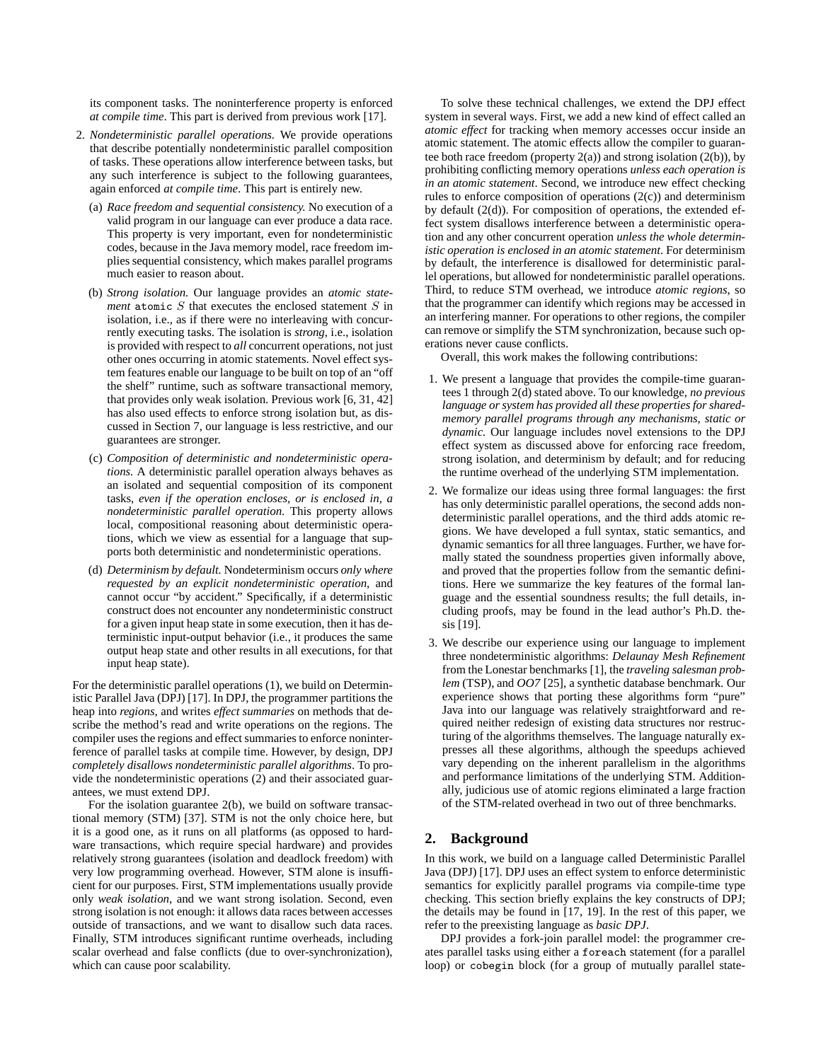its component tasks. The noninterference property is enforced *at compile time*. This part is derived from previous work [17].

- 2. *Nondeterministic parallel operations.* We provide operations that describe potentially nondeterministic parallel composition of tasks. These operations allow interference between tasks, but any such interference is subject to the following guarantees, again enforced *at compile time*. This part is entirely new.
	- (a) *Race freedom and sequential consistency.* No execution of a valid program in our language can ever produce a data race. This property is very important, even for nondeterministic codes, because in the Java memory model, race freedom implies sequential consistency, which makes parallel programs much easier to reason about.
	- (b) *Strong isolation.* Our language provides an *atomic statement* atomic S that executes the enclosed statement S in isolation, i.e., as if there were no interleaving with concurrently executing tasks. The isolation is *strong*, i.e., isolation is provided with respect to *all* concurrent operations, not just other ones occurring in atomic statements. Novel effect system features enable our language to be built on top of an "off the shelf" runtime, such as software transactional memory, that provides only weak isolation. Previous work [6, 31, 42] has also used effects to enforce strong isolation but, as discussed in Section 7, our language is less restrictive, and our guarantees are stronger.
	- (c) *Composition of deterministic and nondeterministic operations.* A deterministic parallel operation always behaves as an isolated and sequential composition of its component tasks, *even if the operation encloses, or is enclosed in, a nondeterministic parallel operation*. This property allows local, compositional reasoning about deterministic operations, which we view as essential for a language that supports both deterministic and nondeterministic operations.
	- (d) *Determinism by default.* Nondeterminism occurs *only where requested by an explicit nondeterministic operation*, and cannot occur "by accident." Specifically, if a deterministic construct does not encounter any nondeterministic construct for a given input heap state in some execution, then it has deterministic input-output behavior (i.e., it produces the same output heap state and other results in all executions, for that input heap state).

For the deterministic parallel operations (1), we build on Deterministic Parallel Java (DPJ) [17]. In DPJ, the programmer partitions the heap into *regions*, and writes *effect summaries* on methods that describe the method's read and write operations on the regions. The compiler uses the regions and effect summaries to enforce noninterference of parallel tasks at compile time. However, by design, DPJ *completely disallows nondeterministic parallel algorithms*. To provide the nondeterministic operations (2) and their associated guarantees, we must extend DPJ.

For the isolation guarantee 2(b), we build on software transactional memory (STM) [37]. STM is not the only choice here, but it is a good one, as it runs on all platforms (as opposed to hardware transactions, which require special hardware) and provides relatively strong guarantees (isolation and deadlock freedom) with very low programming overhead. However, STM alone is insufficient for our purposes. First, STM implementations usually provide only *weak isolation*, and we want strong isolation. Second, even strong isolation is not enough: it allows data races between accesses outside of transactions, and we want to disallow such data races. Finally, STM introduces significant runtime overheads, including scalar overhead and false conflicts (due to over-synchronization), which can cause poor scalability.

To solve these technical challenges, we extend the DPJ effect system in several ways. First, we add a new kind of effect called an *atomic effect* for tracking when memory accesses occur inside an atomic statement. The atomic effects allow the compiler to guarantee both race freedom (property  $2(a)$ ) and strong isolation  $(2(b))$ , by prohibiting conflicting memory operations *unless each operation is in an atomic statement*. Second, we introduce new effect checking rules to enforce composition of operations  $(2(c))$  and determinism by default (2(d)). For composition of operations, the extended effect system disallows interference between a deterministic operation and any other concurrent operation *unless the whole deterministic operation is enclosed in an atomic statement*. For determinism by default, the interference is disallowed for deterministic parallel operations, but allowed for nondeterministic parallel operations. Third, to reduce STM overhead, we introduce *atomic regions*, so that the programmer can identify which regions may be accessed in an interfering manner. For operations to other regions, the compiler can remove or simplify the STM synchronization, because such operations never cause conflicts.

Overall, this work makes the following contributions:

- 1. We present a language that provides the compile-time guarantees 1 through 2(d) stated above. To our knowledge, *no previous language or system has provided all these properties for sharedmemory parallel programs through any mechanisms, static or dynamic.* Our language includes novel extensions to the DPJ effect system as discussed above for enforcing race freedom, strong isolation, and determinism by default; and for reducing the runtime overhead of the underlying STM implementation.
- 2. We formalize our ideas using three formal languages: the first has only deterministic parallel operations, the second adds nondeterministic parallel operations, and the third adds atomic regions. We have developed a full syntax, static semantics, and dynamic semantics for all three languages. Further, we have formally stated the soundness properties given informally above, and proved that the properties follow from the semantic definitions. Here we summarize the key features of the formal language and the essential soundness results; the full details, including proofs, may be found in the lead author's Ph.D. thesis [19].
- 3. We describe our experience using our language to implement three nondeterministic algorithms: *Delaunay Mesh Refinement* from the Lonestar benchmarks [1], the *traveling salesman problem* (TSP), and *OO7* [25], a synthetic database benchmark. Our experience shows that porting these algorithms form "pure" Java into our language was relatively straightforward and required neither redesign of existing data structures nor restructuring of the algorithms themselves. The language naturally expresses all these algorithms, although the speedups achieved vary depending on the inherent parallelism in the algorithms and performance limitations of the underlying STM. Additionally, judicious use of atomic regions eliminated a large fraction of the STM-related overhead in two out of three benchmarks.

# **2. Background**

In this work, we build on a language called Deterministic Parallel Java (DPJ) [17]. DPJ uses an effect system to enforce deterministic semantics for explicitly parallel programs via compile-time type checking. This section briefly explains the key constructs of DPJ; the details may be found in [17, 19]. In the rest of this paper, we refer to the preexisting language as *basic DPJ*.

DPJ provides a fork-join parallel model: the programmer creates parallel tasks using either a foreach statement (for a parallel loop) or cobegin block (for a group of mutually parallel state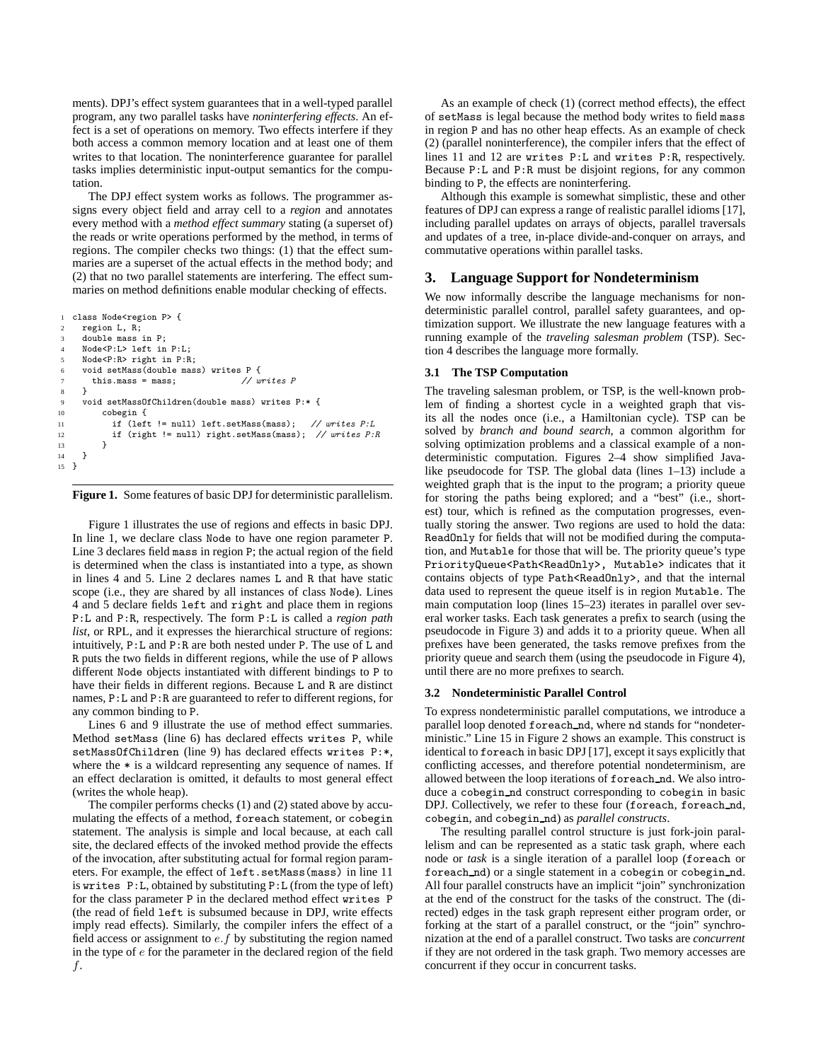ments). DPJ's effect system guarantees that in a well-typed parallel program, any two parallel tasks have *noninterfering effects*. An effect is a set of operations on memory. Two effects interfere if they both access a common memory location and at least one of them writes to that location. The noninterference guarantee for parallel tasks implies deterministic input-output semantics for the computation.

The DPJ effect system works as follows. The programmer assigns every object field and array cell to a *region* and annotates every method with a *method effect summary* stating (a superset of) the reads or write operations performed by the method, in terms of regions. The compiler checks two things: (1) that the effect summaries are a superset of the actual effects in the method body; and (2) that no two parallel statements are interfering. The effect summaries on method definitions enable modular checking of effects.

```
1 class Node<region P> {
2 region L, R;
     double mass in P;
     Node<P:L> left in P:L;
     5 Node<P:R> right in P:R;
     void setMass(double mass) writes P {<br>this.mass = mass;<br>// writes P7 this.mass = mass:
     \mathbf{a}9 void setMassOfChildren(double mass) writes P:* {
10 cobegin {
11 if (left != null) left.setMass(mass); // writes P:L
12 if (right != null) right.setMass(mass); // writes P:R
\begin{array}{ccc} 13 & & & \end{array}\mathcal{F}15 }
```
**Figure 1.** Some features of basic DPJ for deterministic parallelism.

Figure 1 illustrates the use of regions and effects in basic DPJ. In line 1, we declare class Node to have one region parameter P. Line 3 declares field mass in region P; the actual region of the field is determined when the class is instantiated into a type, as shown in lines 4 and 5. Line 2 declares names L and R that have static scope (i.e., they are shared by all instances of class Node). Lines 4 and 5 declare fields left and right and place them in regions P:L and P:R, respectively. The form P:L is called a *region path list*, or RPL, and it expresses the hierarchical structure of regions: intuitively, P:L and P:R are both nested under P. The use of L and R puts the two fields in different regions, while the use of P allows different Node objects instantiated with different bindings to P to have their fields in different regions. Because L and R are distinct names, P:L and P:R are guaranteed to refer to different regions, for any common binding to P.

Lines 6 and 9 illustrate the use of method effect summaries. Method setMass (line 6) has declared effects writes P, while setMassOfChildren (line 9) has declared effects writes P:\*, where the  $*$  is a wildcard representing any sequence of names. If an effect declaration is omitted, it defaults to most general effect (writes the whole heap).

The compiler performs checks (1) and (2) stated above by accumulating the effects of a method, foreach statement, or cobegin statement. The analysis is simple and local because, at each call site, the declared effects of the invoked method provide the effects of the invocation, after substituting actual for formal region parameters. For example, the effect of left.setMass(mass) in line 11 is writes P:L, obtained by substituting P:L (from the type of left) for the class parameter P in the declared method effect writes P (the read of field left is subsumed because in DPJ, write effects imply read effects). Similarly, the compiler infers the effect of a field access or assignment to  $e.f$  by substituting the region named in the type of  $e$  for the parameter in the declared region of the field f.

As an example of check (1) (correct method effects), the effect of setMass is legal because the method body writes to field mass in region P and has no other heap effects. As an example of check (2) (parallel noninterference), the compiler infers that the effect of lines 11 and 12 are writes P:L and writes P:R, respectively. Because P:L and P:R must be disjoint regions, for any common binding to P, the effects are noninterfering.

Although this example is somewhat simplistic, these and other features of DPJ can express a range of realistic parallel idioms [17], including parallel updates on arrays of objects, parallel traversals and updates of a tree, in-place divide-and-conquer on arrays, and commutative operations within parallel tasks.

## **3. Language Support for Nondeterminism**

We now informally describe the language mechanisms for nondeterministic parallel control, parallel safety guarantees, and optimization support. We illustrate the new language features with a running example of the *traveling salesman problem* (TSP). Section 4 describes the language more formally.

## **3.1 The TSP Computation**

The traveling salesman problem, or TSP, is the well-known problem of finding a shortest cycle in a weighted graph that visits all the nodes once (i.e., a Hamiltonian cycle). TSP can be solved by *branch and bound search*, a common algorithm for solving optimization problems and a classical example of a nondeterministic computation. Figures 2–4 show simplified Javalike pseudocode for TSP. The global data (lines 1–13) include a weighted graph that is the input to the program; a priority queue for storing the paths being explored; and a "best" (i.e., shortest) tour, which is refined as the computation progresses, eventually storing the answer. Two regions are used to hold the data: ReadOnly for fields that will not be modified during the computation, and Mutable for those that will be. The priority queue's type PriorityQueue<Path<ReadOnly>, Mutable> indicates that it contains objects of type Path<ReadOnly>, and that the internal data used to represent the queue itself is in region Mutable. The main computation loop (lines 15–23) iterates in parallel over several worker tasks. Each task generates a prefix to search (using the pseudocode in Figure 3) and adds it to a priority queue. When all prefixes have been generated, the tasks remove prefixes from the priority queue and search them (using the pseudocode in Figure 4), until there are no more prefixes to search.

#### **3.2 Nondeterministic Parallel Control**

To express nondeterministic parallel computations, we introduce a parallel loop denoted foreach nd, where nd stands for "nondeterministic." Line 15 in Figure 2 shows an example. This construct is identical to foreach in basic DPJ [17], except it says explicitly that conflicting accesses, and therefore potential nondeterminism, are allowed between the loop iterations of foreach nd. We also introduce a cobegin nd construct corresponding to cobegin in basic DPJ. Collectively, we refer to these four (foreach, foreach nd, cobegin, and cobegin nd) as *parallel constructs*.

The resulting parallel control structure is just fork-join parallelism and can be represented as a static task graph, where each node or *task* is a single iteration of a parallel loop (foreach or foreach nd) or a single statement in a cobegin or cobegin nd. All four parallel constructs have an implicit "join" synchronization at the end of the construct for the tasks of the construct. The (directed) edges in the task graph represent either program order, or forking at the start of a parallel construct, or the "join" synchronization at the end of a parallel construct. Two tasks are *concurrent* if they are not ordered in the task graph. Two memory accesses are concurrent if they occur in concurrent tasks.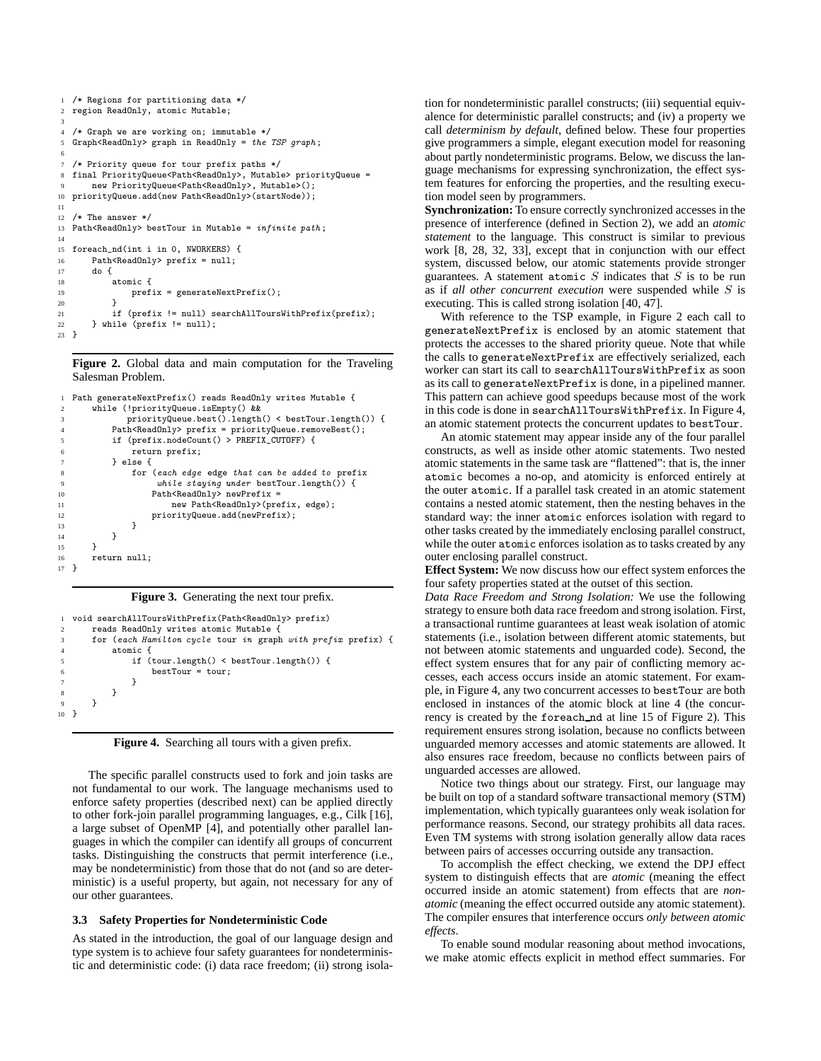```
1 /* Regions for partitioning data */
2 region ReadOnly, atomic Mutable;
 3
4 /* Graph we are working on; immutable */
5 Graph<ReadOnly> graph in ReadOnly = the TSP graph;
 6
   /* Priority queue for tour prefix paths */
8 final PriorityQueue<Path<ReadOnly>, Mutable> priorityQueue =
      new PriorityQueue<Path<ReadOnly>, Mutable>();
10 priorityQueue.add(new Path<ReadOnly>(startNode));
11
12 /* The answer */
13 Path<ReadOnly> bestTour in Mutable = infinite path;
14
15 foreach_nd(int i in 0, NWORKERS) {
16 Path<ReadOnly> prefix = null;<br>17 do f
       d \circ f18 atomic {
19 prefix = generateNextPrefix();<br>
\sum_{n=1}^{\infty}20 }
21 if (prefix != null) searchAllToursWithPrefix(prefix);
22 } while (prefix != null);
23 }
```
**Figure 2.** Global data and main computation for the Traveling Salesman Problem.

```
1 Path generateNextPrefix() reads ReadOnly writes Mutable {
       2 while (!priorityQueue.isEmpty() &&
              3 priorityQueue.best().length() < bestTour.length()) {
4 Path<ReadOnly> prefix = priorityQueue.removeBest();
5 if (prefix.nodeCount() > PREFIX_CUTOFF) {
               return prefix;
           7 } else {
               for (each edge edge that can be added to prefix
9 while staying under bestTour.length()) {<br>10 Path<ReadOnly> newPrefix =
                   Path<ReadOnly> newPrefix =
11 new Path<ReadOnly>(prefix, edge);
12 priorityQueue.add(newPrefix);
13 }
14 }
15 }
16 return null;<br>17}
17 }
```
#### **Figure 3.** Generating the next tour prefix.

```
void searchAllToursWithPrefix(Path<ReadOnly> prefix)
        reads ReadOnly writes atomic Mutable {
        for (each Hamilton cycle tour in graph with prefix prefix) {
             atomic {
                 5 if (tour.length() < bestTour.length()) {
                 bestTour = tour;<br>}
 7 }
             \mathbf{a}\begin{matrix} \uparrow \\ \downarrow \end{matrix}10 }
```
**Figure 4.** Searching all tours with a given prefix.

The specific parallel constructs used to fork and join tasks are not fundamental to our work. The language mechanisms used to enforce safety properties (described next) can be applied directly to other fork-join parallel programming languages, e.g., Cilk [16], a large subset of OpenMP [4], and potentially other parallel languages in which the compiler can identify all groups of concurrent tasks. Distinguishing the constructs that permit interference (i.e., may be nondeterministic) from those that do not (and so are deterministic) is a useful property, but again, not necessary for any of our other guarantees.

#### **3.3 Safety Properties for Nondeterministic Code**

As stated in the introduction, the goal of our language design and type system is to achieve four safety guarantees for nondeterministic and deterministic code: (i) data race freedom; (ii) strong isolation for nondeterministic parallel constructs; (iii) sequential equivalence for deterministic parallel constructs; and (iv) a property we call *determinism by default*, defined below. These four properties give programmers a simple, elegant execution model for reasoning about partly nondeterministic programs. Below, we discuss the language mechanisms for expressing synchronization, the effect system features for enforcing the properties, and the resulting execution model seen by programmers.

**Synchronization:** To ensure correctly synchronized accesses in the presence of interference (defined in Section 2), we add an *atomic statement* to the language. This construct is similar to previous work [8, 28, 32, 33], except that in conjunction with our effect system, discussed below, our atomic statements provide stronger guarantees. A statement atomic  $S$  indicates that  $S$  is to be run as if *all other concurrent execution* were suspended while S is executing. This is called strong isolation [40, 47].

With reference to the TSP example, in Figure 2 each call to generateNextPrefix is enclosed by an atomic statement that protects the accesses to the shared priority queue. Note that while the calls to generateNextPrefix are effectively serialized, each worker can start its call to searchAllToursWithPrefix as soon as its call to generateNextPrefix is done, in a pipelined manner. This pattern can achieve good speedups because most of the work in this code is done in searchAllToursWithPrefix. In Figure 4, an atomic statement protects the concurrent updates to bestTour.

An atomic statement may appear inside any of the four parallel constructs, as well as inside other atomic statements. Two nested atomic statements in the same task are "flattened": that is, the inner atomic becomes a no-op, and atomicity is enforced entirely at the outer atomic. If a parallel task created in an atomic statement contains a nested atomic statement, then the nesting behaves in the standard way: the inner atomic enforces isolation with regard to other tasks created by the immediately enclosing parallel construct, while the outer atomic enforces isolation as to tasks created by any outer enclosing parallel construct.

**Effect System:** We now discuss how our effect system enforces the four safety properties stated at the outset of this section.

*Data Race Freedom and Strong Isolation:* We use the following strategy to ensure both data race freedom and strong isolation. First, a transactional runtime guarantees at least weak isolation of atomic statements (i.e., isolation between different atomic statements, but not between atomic statements and unguarded code). Second, the effect system ensures that for any pair of conflicting memory accesses, each access occurs inside an atomic statement. For example, in Figure 4, any two concurrent accesses to bestTour are both enclosed in instances of the atomic block at line 4 (the concurrency is created by the foreach nd at line 15 of Figure 2). This requirement ensures strong isolation, because no conflicts between unguarded memory accesses and atomic statements are allowed. It also ensures race freedom, because no conflicts between pairs of unguarded accesses are allowed.

Notice two things about our strategy. First, our language may be built on top of a standard software transactional memory (STM) implementation, which typically guarantees only weak isolation for performance reasons. Second, our strategy prohibits all data races. Even TM systems with strong isolation generally allow data races between pairs of accesses occurring outside any transaction.

To accomplish the effect checking, we extend the DPJ effect system to distinguish effects that are *atomic* (meaning the effect occurred inside an atomic statement) from effects that are *nonatomic* (meaning the effect occurred outside any atomic statement). The compiler ensures that interference occurs *only between atomic effects*.

To enable sound modular reasoning about method invocations, we make atomic effects explicit in method effect summaries. For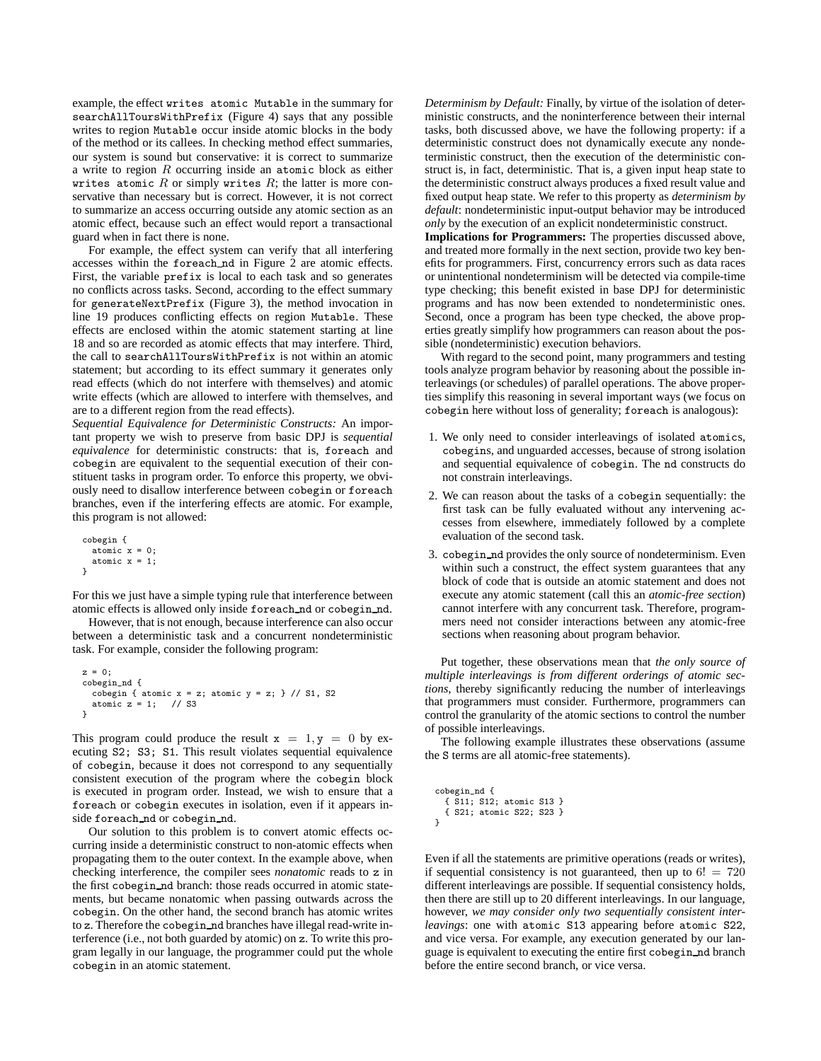example, the effect writes atomic Mutable in the summary for searchAllToursWithPrefix (Figure 4) says that any possible writes to region Mutable occur inside atomic blocks in the body of the method or its callees. In checking method effect summaries, our system is sound but conservative: it is correct to summarize a write to region R occurring inside an atomic block as either writes atomic  $R$  or simply writes  $R$ ; the latter is more conservative than necessary but is correct. However, it is not correct to summarize an access occurring outside any atomic section as an atomic effect, because such an effect would report a transactional guard when in fact there is none.

For example, the effect system can verify that all interfering accesses within the foreach nd in Figure 2 are atomic effects. First, the variable prefix is local to each task and so generates no conflicts across tasks. Second, according to the effect summary for generateNextPrefix (Figure 3), the method invocation in line 19 produces conflicting effects on region Mutable. These effects are enclosed within the atomic statement starting at line 18 and so are recorded as atomic effects that may interfere. Third, the call to searchAllToursWithPrefix is not within an atomic statement; but according to its effect summary it generates only read effects (which do not interfere with themselves) and atomic write effects (which are allowed to interfere with themselves, and are to a different region from the read effects).

*Sequential Equivalence for Deterministic Constructs:* An important property we wish to preserve from basic DPJ is *sequential equivalence* for deterministic constructs: that is, foreach and cobegin are equivalent to the sequential execution of their constituent tasks in program order. To enforce this property, we obviously need to disallow interference between cobegin or foreach branches, even if the interfering effects are atomic. For example, this program is not allowed:

```
cobegin {
 atomic x = 0;
  atomic x = 1;
}
```
For this we just have a simple typing rule that interference between atomic effects is allowed only inside foreach nd or cobegin nd.

However, that is not enough, because interference can also occur between a deterministic task and a concurrent nondeterministic task. For example, consider the following program:

```
z = 0:
cobegin_nd {
 cobegin { atomic x = z; atomic y = z; } // S1, S2
 atomic z = 1; // S3
}
```
This program could produce the result  $x = 1, y = 0$  by executing S2; S3; S1. This result violates sequential equivalence of cobegin, because it does not correspond to any sequentially consistent execution of the program where the cobegin block is executed in program order. Instead, we wish to ensure that a foreach or cobegin executes in isolation, even if it appears inside foreach nd or cobegin nd.

Our solution to this problem is to convert atomic effects occurring inside a deterministic construct to non-atomic effects when propagating them to the outer context. In the example above, when checking interference, the compiler sees *nonatomic* reads to z in the first cobegin nd branch: those reads occurred in atomic statements, but became nonatomic when passing outwards across the cobegin. On the other hand, the second branch has atomic writes to z. Therefore the cobegin nd branches have illegal read-write interference (i.e., not both guarded by atomic) on z. To write this program legally in our language, the programmer could put the whole cobegin in an atomic statement.

*Determinism by Default:* Finally, by virtue of the isolation of deterministic constructs, and the noninterference between their internal tasks, both discussed above, we have the following property: if a deterministic construct does not dynamically execute any nondeterministic construct, then the execution of the deterministic construct is, in fact, deterministic. That is, a given input heap state to the deterministic construct always produces a fixed result value and fixed output heap state. We refer to this property as *determinism by default*: nondeterministic input-output behavior may be introduced *only* by the execution of an explicit nondeterministic construct.

**Implications for Programmers:** The properties discussed above, and treated more formally in the next section, provide two key benefits for programmers. First, concurrency errors such as data races or unintentional nondeterminism will be detected via compile-time type checking; this benefit existed in base DPJ for deterministic programs and has now been extended to nondeterministic ones. Second, once a program has been type checked, the above properties greatly simplify how programmers can reason about the possible (nondeterministic) execution behaviors.

With regard to the second point, many programmers and testing tools analyze program behavior by reasoning about the possible interleavings (or schedules) of parallel operations. The above properties simplify this reasoning in several important ways (we focus on cobegin here without loss of generality; foreach is analogous):

- 1. We only need to consider interleavings of isolated atomics, cobegins, and unguarded accesses, because of strong isolation and sequential equivalence of cobegin. The nd constructs do not constrain interleavings.
- 2. We can reason about the tasks of a cobegin sequentially: the first task can be fully evaluated without any intervening accesses from elsewhere, immediately followed by a complete evaluation of the second task.
- 3. cobegin nd provides the only source of nondeterminism. Even within such a construct, the effect system guarantees that any block of code that is outside an atomic statement and does not execute any atomic statement (call this an *atomic-free section*) cannot interfere with any concurrent task. Therefore, programmers need not consider interactions between any atomic-free sections when reasoning about program behavior.

Put together, these observations mean that *the only source of multiple interleavings is from different orderings of atomic sections*, thereby significantly reducing the number of interleavings that programmers must consider. Furthermore, programmers can control the granularity of the atomic sections to control the number of possible interleavings.

The following example illustrates these observations (assume the S terms are all atomic-free statements).

cobegin\_nd { { S11; S12; atomic S13 } { S21; atomic S22; S23 } }

Even if all the statements are primitive operations (reads or writes), if sequential consistency is not guaranteed, then up to  $6! = 720$ different interleavings are possible. If sequential consistency holds, then there are still up to 20 different interleavings. In our language, however, *we may consider only two sequentially consistent interleavings*: one with atomic S13 appearing before atomic S22, and vice versa. For example, any execution generated by our language is equivalent to executing the entire first cobegin nd branch before the entire second branch, or vice versa.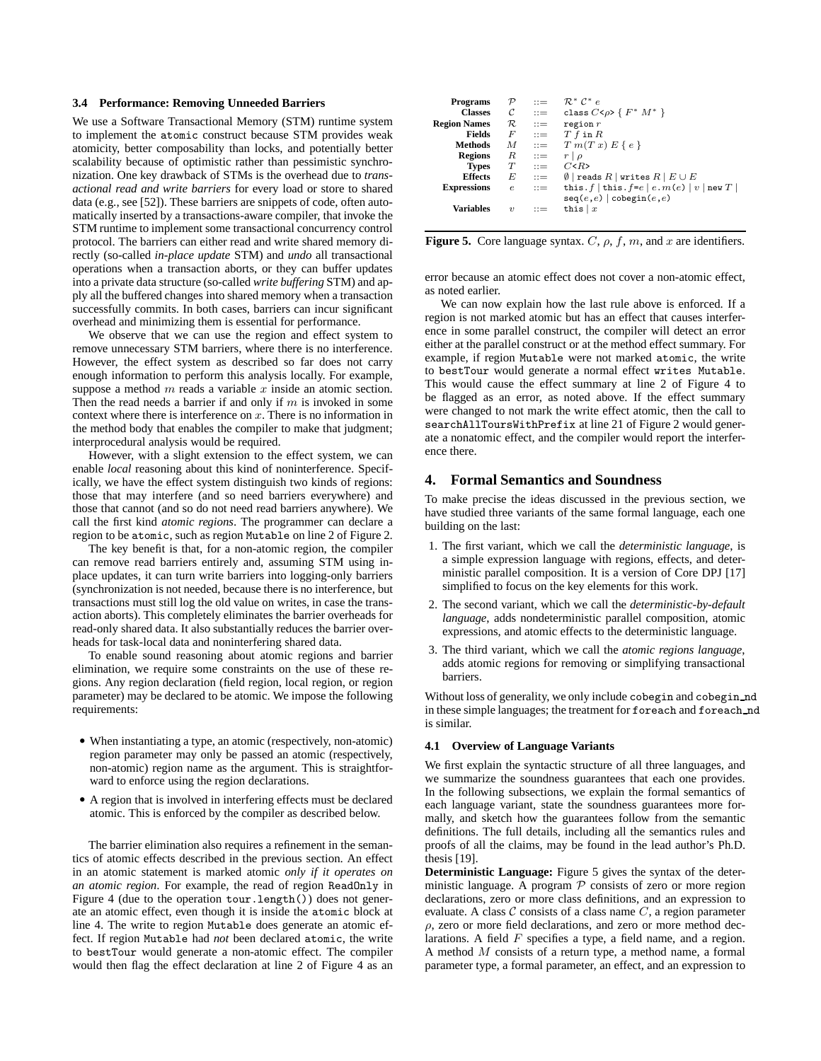# **3.4 Performance: Removing Unneeded Barriers**

We use a Software Transactional Memory (STM) runtime system to implement the atomic construct because STM provides weak atomicity, better composability than locks, and potentially better scalability because of optimistic rather than pessimistic synchronization. One key drawback of STMs is the overhead due to *transactional read and write barriers* for every load or store to shared data (e.g., see [52]). These barriers are snippets of code, often automatically inserted by a transactions-aware compiler, that invoke the STM runtime to implement some transactional concurrency control protocol. The barriers can either read and write shared memory directly (so-called *in-place update* STM) and *undo* all transactional operations when a transaction aborts, or they can buffer updates into a private data structure (so-called *write buffering* STM) and apply all the buffered changes into shared memory when a transaction successfully commits. In both cases, barriers can incur significant overhead and minimizing them is essential for performance.

We observe that we can use the region and effect system to remove unnecessary STM barriers, where there is no interference. However, the effect system as described so far does not carry enough information to perform this analysis locally. For example, suppose a method  $m$  reads a variable  $x$  inside an atomic section. Then the read needs a barrier if and only if  $m$  is invoked in some context where there is interference on  $x$ . There is no information in the method body that enables the compiler to make that judgment; interprocedural analysis would be required.

However, with a slight extension to the effect system, we can enable *local* reasoning about this kind of noninterference. Specifically, we have the effect system distinguish two kinds of regions: those that may interfere (and so need barriers everywhere) and those that cannot (and so do not need read barriers anywhere). We call the first kind *atomic regions*. The programmer can declare a region to be atomic, such as region Mutable on line 2 of Figure 2.

The key benefit is that, for a non-atomic region, the compiler can remove read barriers entirely and, assuming STM using inplace updates, it can turn write barriers into logging-only barriers (synchronization is not needed, because there is no interference, but transactions must still log the old value on writes, in case the transaction aborts). This completely eliminates the barrier overheads for read-only shared data. It also substantially reduces the barrier overheads for task-local data and noninterfering shared data.

To enable sound reasoning about atomic regions and barrier elimination, we require some constraints on the use of these regions. Any region declaration (field region, local region, or region parameter) may be declared to be atomic. We impose the following requirements:

- When instantiating a type, an atomic (respectively, non-atomic) region parameter may only be passed an atomic (respectively, non-atomic) region name as the argument. This is straightforward to enforce using the region declarations.
- A region that is involved in interfering effects must be declared atomic. This is enforced by the compiler as described below.

The barrier elimination also requires a refinement in the semantics of atomic effects described in the previous section. An effect in an atomic statement is marked atomic *only if it operates on an atomic region*. For example, the read of region ReadOnly in Figure 4 (due to the operation tour.length()) does not generate an atomic effect, even though it is inside the atomic block at line 4. The write to region Mutable does generate an atomic effect. If region Mutable had *not* been declared atomic, the write to bestTour would generate a non-atomic effect. The compiler would then flag the effect declaration at line 2 of Figure 4 as an

| <b>Programs</b>     | $\cal P$       | $\equiv$                  | $\mathcal{R}^*$ $\mathcal{C}^*$ e                  |
|---------------------|----------------|---------------------------|----------------------------------------------------|
| <b>Classes</b>      | C              | $\mathbf{m}$              | class $C \leq \rho > \{ F^* M^* \}$                |
| <b>Region Names</b> | $\mathcal R_-$ | $\mathbf{r} =$            | region r                                           |
| <b>Fields</b>       | F              |                           | $ ::= T f \text{ in } R$                           |
| <b>Methods</b>      | M              |                           | $ ::= T m(T x) E \{e\}$                            |
| <b>Regions</b>      | R              | $\mathbf{r} =$            | $r \mid \rho$                                      |
| <b>Types</b>        | T              | $\equiv$                  | $C$ < R>                                           |
| <b>Effects</b>      | E              | $\mathbf{m} = \mathbf{m}$ | $\emptyset$   reads $R$   writes $R \mid E \cup E$ |
| <b>Expressions</b>  | $\epsilon$     | $\mathbf{r} =$            | this. $f  $ this. $f = e   e.m(e)   v  $ new $T  $ |
| <b>Variables</b>    | $\eta$         |                           | seq(e, e)   codegin(e, e)<br>this $ x $            |

**Figure 5.** Core language syntax.  $C$ ,  $\rho$ ,  $f$ ,  $m$ , and  $x$  are identifiers.

error because an atomic effect does not cover a non-atomic effect, as noted earlier.

We can now explain how the last rule above is enforced. If a region is not marked atomic but has an effect that causes interference in some parallel construct, the compiler will detect an error either at the parallel construct or at the method effect summary. For example, if region Mutable were not marked atomic, the write to bestTour would generate a normal effect writes Mutable. This would cause the effect summary at line 2 of Figure 4 to be flagged as an error, as noted above. If the effect summary were changed to not mark the write effect atomic, then the call to searchAllToursWithPrefix at line 21 of Figure 2 would generate a nonatomic effect, and the compiler would report the interference there.

## **4. Formal Semantics and Soundness**

To make precise the ideas discussed in the previous section, we have studied three variants of the same formal language, each one building on the last:

- 1. The first variant, which we call the *deterministic language*, is a simple expression language with regions, effects, and deterministic parallel composition. It is a version of Core DPJ [17] simplified to focus on the key elements for this work.
- 2. The second variant, which we call the *deterministic-by-default language*, adds nondeterministic parallel composition, atomic expressions, and atomic effects to the deterministic language.
- 3. The third variant, which we call the *atomic regions language*, adds atomic regions for removing or simplifying transactional barriers.

Without loss of generality, we only include cobegin and cobegin nd in these simple languages; the treatment for foreach and foreach nd is similar.

#### **4.1 Overview of Language Variants**

We first explain the syntactic structure of all three languages, and we summarize the soundness guarantees that each one provides. In the following subsections, we explain the formal semantics of each language variant, state the soundness guarantees more formally, and sketch how the guarantees follow from the semantic definitions. The full details, including all the semantics rules and proofs of all the claims, may be found in the lead author's Ph.D. thesis [19].

**Deterministic Language:** Figure 5 gives the syntax of the deterministic language. A program  $P$  consists of zero or more region declarations, zero or more class definitions, and an expression to evaluate. A class  $C$  consists of a class name  $C$ , a region parameter  $\rho$ , zero or more field declarations, and zero or more method declarations. A field  $F$  specifies a type, a field name, and a region. A method M consists of a return type, a method name, a formal parameter type, a formal parameter, an effect, and an expression to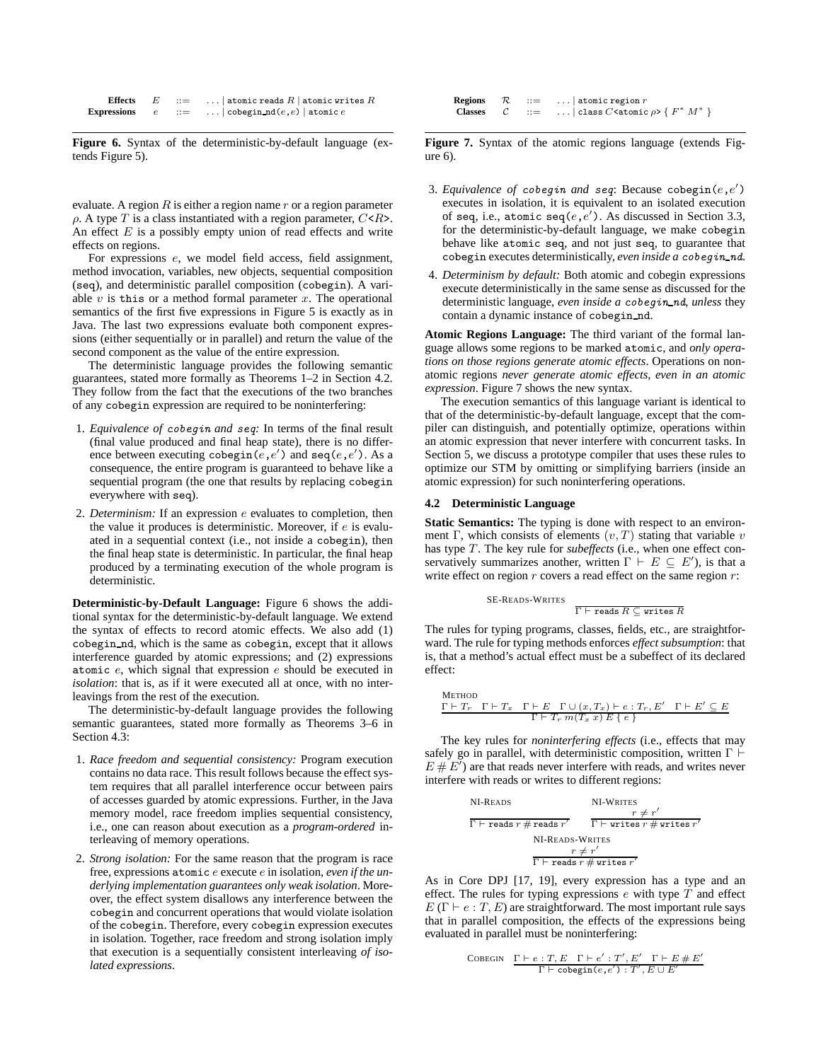**Effects**  $E$  ::= ... | atomic reads  $R$  | atomic writes  $R$ **Expressions**  $e$  ::= ... | cobegin\_nd( $e, e$ ) | atomic  $e$ 

**Figure 6.** Syntax of the deterministic-by-default language (extends Figure 5).

evaluate. A region  $R$  is either a region name  $r$  or a region parameter  $\rho$ . A type T is a class instantiated with a region parameter,  $C \le R$ >. An effect  $E$  is a possibly empty union of read effects and write effects on regions.

For expressions e, we model field access, field assignment, method invocation, variables, new objects, sequential composition (seq), and deterministic parallel composition (cobegin). A variable  $v$  is this or a method formal parameter  $x$ . The operational semantics of the first five expressions in Figure 5 is exactly as in Java. The last two expressions evaluate both component expressions (either sequentially or in parallel) and return the value of the second component as the value of the entire expression.

The deterministic language provides the following semantic guarantees, stated more formally as Theorems 1–2 in Section 4.2. They follow from the fact that the executions of the two branches of any cobegin expression are required to be noninterfering:

- 1. *Equivalence of* cobegin *and* seq*:* In terms of the final result (final value produced and final heap state), there is no difference between executing cobegin(e,e') and  $seq(e, e')$ . As a consequence, the entire program is guaranteed to behave like a sequential program (the one that results by replacing cobegin everywhere with seq).
- 2. *Determinism:* If an expression e evaluates to completion, then the value it produces is deterministic. Moreover, if  $e$  is evaluated in a sequential context (i.e., not inside a cobegin), then the final heap state is deterministic. In particular, the final heap produced by a terminating execution of the whole program is deterministic.

**Deterministic-by-Default Language:** Figure 6 shows the additional syntax for the deterministic-by-default language. We extend the syntax of effects to record atomic effects. We also add (1) cobegin nd, which is the same as cobegin, except that it allows interference guarded by atomic expressions; and (2) expressions atomic e, which signal that expression e should be executed in *isolation*: that is, as if it were executed all at once, with no interleavings from the rest of the execution.

The deterministic-by-default language provides the following semantic guarantees, stated more formally as Theorems 3–6 in Section 4.3:

- 1. *Race freedom and sequential consistency:* Program execution contains no data race. This result follows because the effect system requires that all parallel interference occur between pairs of accesses guarded by atomic expressions. Further, in the Java memory model, race freedom implies sequential consistency, i.e., one can reason about execution as a *program-ordered* interleaving of memory operations.
- 2. *Strong isolation:* For the same reason that the program is race free, expressions atomic e execute e in isolation, *even if the underlying implementation guarantees only weak isolation*. Moreover, the effect system disallows any interference between the cobegin and concurrent operations that would violate isolation of the cobegin. Therefore, every cobegin expression executes in isolation. Together, race freedom and strong isolation imply that execution is a sequentially consistent interleaving *of isolated expressions*.

**Regions**  $R$  ::= ... | atomic region  $r$ <br>Classes  $C$  := ... | class  $C$  <atomic **Classes**  $C := ... | \text{class } C \leq \text{atomic } \rho > \{ F^* | M^* \}$ 

**Figure 7.** Syntax of the atomic regions language (extends Figure 6).

- 3. *Equivalence of cobegin and seq*: Because cobegin(e,e') executes in isolation, it is equivalent to an isolated execution of seq, i.e., atomic seq(e,e'). As discussed in Section 3.3, for the deterministic-by-default language, we make cobegin behave like atomic seq, and not just seq, to guarantee that cobegin executes deterministically, *even inside a* cobegin nd.
- 4. *Determinism by default:* Both atomic and cobegin expressions execute deterministically in the same sense as discussed for the deterministic language, *even inside a* cobegin nd, *unless* they contain a dynamic instance of cobegin\_nd.

**Atomic Regions Language:** The third variant of the formal language allows some regions to be marked atomic, and *only operations on those regions generate atomic effects*. Operations on nonatomic regions *never generate atomic effects, even in an atomic expression*. Figure 7 shows the new syntax.

The execution semantics of this language variant is identical to that of the deterministic-by-default language, except that the compiler can distinguish, and potentially optimize, operations within an atomic expression that never interfere with concurrent tasks. In Section 5, we discuss a prototype compiler that uses these rules to optimize our STM by omitting or simplifying barriers (inside an atomic expression) for such noninterfering operations.

## **4.2 Deterministic Language**

**Static Semantics:** The typing is done with respect to an environment Γ, which consists of elements  $(v, T)$  stating that variable v has type T. The key rule for *subeffects* (i.e., when one effect conservatively summarizes another, written  $\Gamma \vdash E \subseteq E'$ ), is that a write effect on region  $r$  covers a read effect on the same region  $r$ :

SE-READS-WRITES  

$$
\Gamma \vdash \texttt{reads } R \subseteq \texttt{writes } \overline{R}
$$

The rules for typing programs, classes, fields, etc., are straightforward. The rule for typing methods enforces *effect subsumption*: that is, that a method's actual effect must be a subeffect of its declared effect:

METHOD  
\n
$$
\frac{\Gamma \vdash T_r \quad \Gamma \vdash T_x \quad \Gamma \vdash E \quad \Gamma \cup (x, T_x) \vdash e : T_r, E' \quad \Gamma \vdash E' \subseteq E}{\Gamma \vdash T_r \ m(T_x \ x) \ E \{ e \}}
$$

The key rules for *noninterfering effects* (i.e., effects that may safely go in parallel, with deterministic composition, written  $\Gamma \vdash$  $E \# E'$ ) are that reads never interfere with reads, and writes never interfere with reads or writes to different regions:

NI-READS  
\n
$$
\frac{1}{\Gamma \vdash \text{reads } r \neq \text{reads } r'} \qquad \frac{r \neq r'}{\Gamma \vdash \text{writes } r \neq \text{writes } r'}
$$
\n
$$
\frac{\text{NI-READS-WRTES}}{\Gamma \vdash \text{reads } r \neq \text{writes } r'}
$$

As in Core DPJ [17, 19], every expression has a type and an effect. The rules for typing expressions  $e$  with type  $T$  and effect  $E$  ( $\Gamma \vdash e : T, E$ ) are straightforward. The most important rule says that in parallel composition, the effects of the expressions being evaluated in parallel must be noninterfering:

COBEGIN 
$$
\Gamma \vdash e : T, E \Gamma \vdash e' : T', E' \Gamma \vdash E \# E'
$$
  
 $\Gamma \vdash \text{cobegin}(e, e') : T', E \cup E'$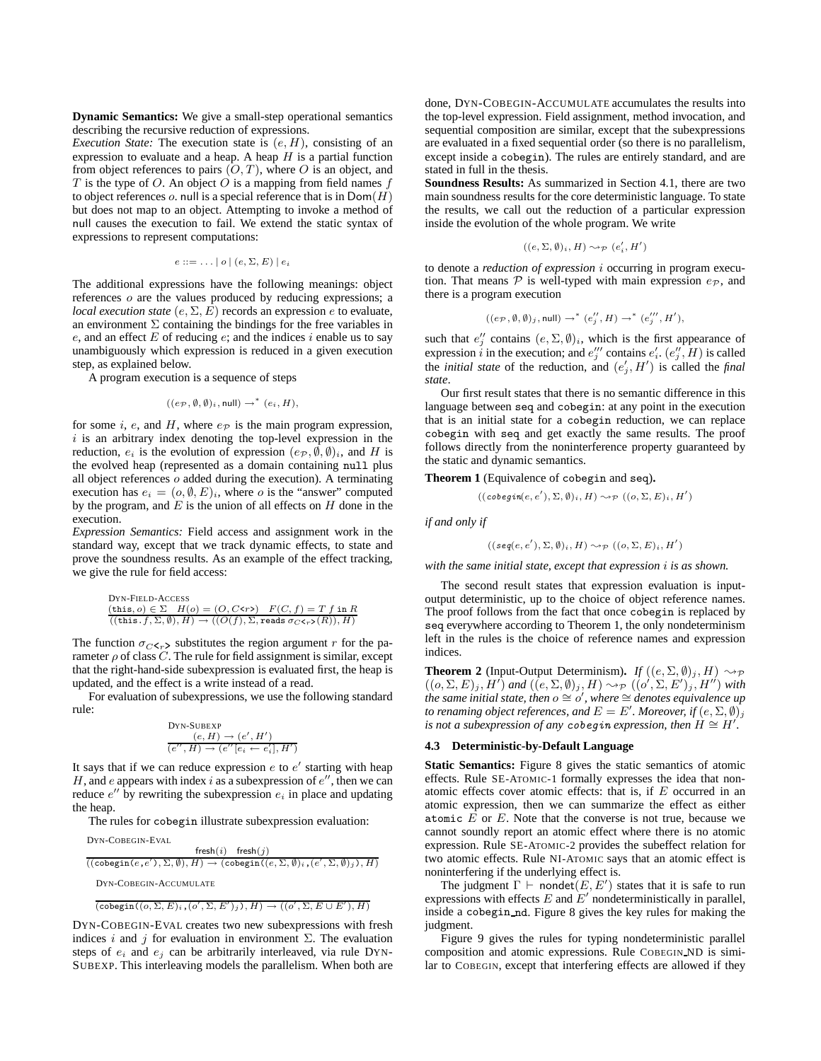**Dynamic Semantics:** We give a small-step operational semantics describing the recursive reduction of expressions.

*Execution State:* The execution state is  $(e, H)$ , consisting of an expression to evaluate and a heap. A heap  $H$  is a partial function from object references to pairs  $(O, T)$ , where O is an object, and T is the type of O. An object O is a mapping from field names  $f$ to object references  $o$ . null is a special reference that is in  $Dom(H)$ but does not map to an object. Attempting to invoke a method of null causes the execution to fail. We extend the static syntax of expressions to represent computations:

$$
e ::= \ldots | o | (e, \Sigma, E) | e_i
$$

The additional expressions have the following meanings: object references o are the values produced by reducing expressions; a *local execution state*  $(e, \Sigma, E)$  records an expression e to evaluate, an environment  $\Sigma$  containing the bindings for the free variables in e, and an effect  $E$  of reducing  $e$ ; and the indices  $i$  enable us to say unambiguously which expression is reduced in a given execution step, as explained below.

A program execution is a sequence of steps

$$
((e_{\mathcal{P}}, \emptyset, \emptyset)_i, \text{null}) \to^* (e_i, H),
$$

for some i, e, and H, where  $e_{\mathcal{P}}$  is the main program expression,  $i$  is an arbitrary index denoting the top-level expression in the reduction,  $e_i$  is the evolution of expression  $(e_{\mathcal{P}}, \emptyset, \emptyset)_{i}$ , and H is the evolved heap (represented as a domain containing null plus all object references  $o$  added during the execution). A terminating execution has  $e_i = (o, \emptyset, E)_i$ , where o is the "answer" computed by the program, and  $E$  is the union of all effects on  $H$  done in the execution.

*Expression Semantics:* Field access and assignment work in the standard way, except that we track dynamic effects, to state and prove the soundness results. As an example of the effect tracking, we give the rule for field access:

$$
\begin{array}{l} \text{DYN-FIED-ACCESS}\\ (\text{this},o) \in \Sigma \quad H(o) = (O,C\texttt{<}r\texttt{>}) \quad F(C,f) = T\ f \text{ in } R\\ \overline{((\text{this},f,\Sigma,\emptyset),H) \rightarrow ((O(f),\Sigma,\text{reads }\sigma_{C\texttt{<}r\texttt{>}}(R)),H)} \end{array}
$$

The function  $\sigma_{C\leq r}$  substitutes the region argument r for the parameter  $\rho$  of class  $C$ . The rule for field assignment is similar, except that the right-hand-side subexpression is evaluated first, the heap is updated, and the effect is a write instead of a read.

For evaluation of subexpressions, we use the following standard rule:

$$
\begin{array}{l} \text{DYN-SUBEXP} \\ (e, H) \rightarrow (e', H')\\ \hline (e'', H) \rightarrow (e''[e_i \leftarrow e_i'], H') \end{array}
$$

It says that if we can reduce expression  $e$  to  $e'$  starting with heap H, and e appears with index i as a subexpression of  $e''$ , then we can reduce  $e''$  by rewriting the subexpression  $e_i$  in place and updating the heap.

The rules for cobegin illustrate subexpression evaluation:

DYN-COBEGIN-EVAL

\n
$$
\frac{\text{ fresh}(i) \quad \text{ fresh}(j)}{\left((\text{cobegin}(e, e'), \Sigma, \emptyset), H) \rightarrow (\text{cobegin}((e, \Sigma, \emptyset)_i, (e', \Sigma, \emptyset)_j), H)\right)}
$$
\nDYN-COBEGIN-ACCUMULATE

\n
$$
\frac{\text{Cobegin}((o, \Sigma, E)_i, (o', \Sigma, E')_j), H) \rightarrow ((o', \Sigma, E \cup E'), H)}{\text{Cobegin}((o, \Sigma, E)_i, (o', \Sigma, E')_j), H) \rightarrow ((o', \Sigma, E \cup E'), H)}
$$

DYN-COBEGIN-EVAL creates two new subexpressions with fresh indices i and j for evaluation in environment  $\Sigma$ . The evaluation steps of  $e_i$  and  $e_j$  can be arbitrarily interleaved, via rule DYN-SUBEXP. This interleaving models the parallelism. When both are done, DYN-COBEGIN-ACCUMULATE accumulates the results into the top-level expression. Field assignment, method invocation, and sequential composition are similar, except that the subexpressions are evaluated in a fixed sequential order (so there is no parallelism, except inside a cobegin). The rules are entirely standard, and are stated in full in the thesis.

**Soundness Results:** As summarized in Section 4.1, there are two main soundness results for the core deterministic language. To state the results, we call out the reduction of a particular expression inside the evolution of the whole program. We write

$$
((e,\Sigma,\emptyset)_i,H)\leadsto_{\mathcal{P}} (e'_i,H')
$$

to denote a *reduction of expression* i occurring in program execution. That means  $P$  is well-typed with main expression  $e_{P}$ , and there is a program execution

$$
((e_{\mathcal{P}}, \emptyset, \emptyset)_j, \mathsf{null}) \to^* (e''_j, H) \to^* (e'''_j, H'),
$$

such that  $e''_j$  contains  $(e, \Sigma, \emptyset)_i$ , which is the first appearance of expression i in the execution; and  $e''_j$  contains  $e'_i$ .  $(e''_j, H)$  is called the *initial state* of the reduction, and  $(e'_j, H')$  is called the *final state*.

Our first result states that there is no semantic difference in this language between seq and cobegin: at any point in the execution that is an initial state for a cobegin reduction, we can replace cobegin with seq and get exactly the same results. The proof follows directly from the noninterference property guaranteed by the static and dynamic semantics.

**Theorem 1** (Equivalence of cobegin and seq)**.**

$$
((\text{cobegin}(e, e'), \Sigma, \emptyset)_i, H) \sim_{\mathcal{P}} ( (o, \Sigma, E)_i, H')
$$

*if and only if*

$$
((\text{seq}(e, e'), \Sigma, \emptyset)_i, H) \rightsquigarrow_{\mathcal{P}} ((o, \Sigma, E)_i, H')
$$

*with the same initial state, except that expression* i *is as shown.*

The second result states that expression evaluation is inputoutput deterministic, up to the choice of object reference names. The proof follows from the fact that once cobegin is replaced by seq everywhere according to Theorem 1, the only nondeterminism left in the rules is the choice of reference names and expression indices.

**Theorem 2** (Input-Output Determinism). *If*  $((e, \Sigma, \emptyset)_j, H) \rightsquigarrow_{\mathcal{P}}$  $((o, \Sigma, E)_j, H')$  and  $((e, \Sigma, \emptyset)_j, H) \rightsquigarrow_{\mathcal{P}} ((o', \Sigma, E')_j, H'')$  with *the same initial state, then*  $o ⊆ o'$ , where  $\cong$  *denotes equivalence up to renaming object references, and*  $E = E'$ . Moreover, if  $(e, \Sigma, \emptyset)_j$ *is not a subexpression of any cobegin expression, then*  $\hat{H} \cong H'$ .

## **4.3 Deterministic-by-Default Language**

**Static Semantics:** Figure 8 gives the static semantics of atomic effects. Rule SE-ATOMIC-1 formally expresses the idea that nonatomic effects cover atomic effects: that is, if  $E$  occurred in an atomic expression, then we can summarize the effect as either atomic  $E$  or  $E$ . Note that the converse is not true, because we cannot soundly report an atomic effect where there is no atomic expression. Rule SE-ATOMIC-2 provides the subeffect relation for two atomic effects. Rule NI-ATOMIC says that an atomic effect is noninterfering if the underlying effect is.

The judgment  $\Gamma \vdash \mathsf{nondet}(E, E')$  states that it is safe to run expressions with effects E and  $E'$  nondeterministically in parallel, inside a cobegin nd. Figure 8 gives the key rules for making the judgment.

Figure 9 gives the rules for typing nondeterministic parallel composition and atomic expressions. Rule COBEGIN ND is similar to COBEGIN, except that interfering effects are allowed if they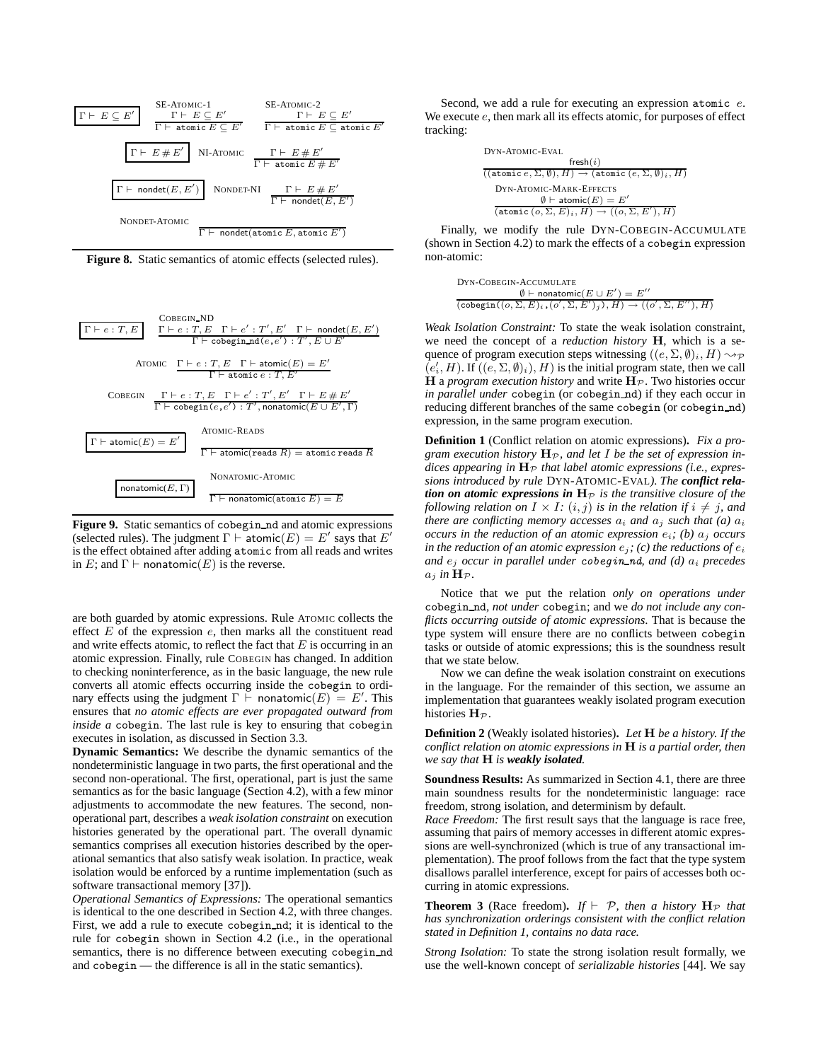

Figure 8. Static semantics of atomic effects (selected rules).



**Figure 9.** Static semantics of cobegin nd and atomic expressions (selected rules). The judgment  $\Gamma \vdash \check{\mathsf{atomic}}(E) = E'$  says that  $E'$ is the effect obtained after adding atomic from all reads and writes in E; and  $\Gamma \vdash$  nonatomic(E) is the reverse.

are both guarded by atomic expressions. Rule ATOMIC collects the effect  $E$  of the expression  $e$ , then marks all the constituent read and write effects atomic, to reflect the fact that  $E$  is occurring in an atomic expression. Finally, rule COBEGIN has changed. In addition to checking noninterference, as in the basic language, the new rule converts all atomic effects occurring inside the cobegin to ordinary effects using the judgment  $\Gamma \stackrel{\smile}{\vdash}$  nonatomic $(E) \stackrel{\smile}{=} E'$ . This ensures that *no atomic effects are ever propagated outward from inside a* cobegin. The last rule is key to ensuring that cobegin executes in isolation, as discussed in Section 3.3.

**Dynamic Semantics:** We describe the dynamic semantics of the nondeterministic language in two parts, the first operational and the second non-operational. The first, operational, part is just the same semantics as for the basic language (Section 4.2), with a few minor adjustments to accommodate the new features. The second, nonoperational part, describes a *weak isolation constraint* on execution histories generated by the operational part. The overall dynamic semantics comprises all execution histories described by the operational semantics that also satisfy weak isolation. In practice, weak isolation would be enforced by a runtime implementation (such as software transactional memory [37]).

*Operational Semantics of Expressions:* The operational semantics is identical to the one described in Section 4.2, with three changes. First, we add a rule to execute cobegin nd; it is identical to the rule for cobegin shown in Section 4.2 (i.e., in the operational semantics, there is no difference between executing cobegin nd and cobegin — the difference is all in the static semantics).

Second, we add a rule for executing an expression atomic  $e$ . We execute  $e$ , then mark all its effects atomic, for purposes of effect tracking:

| DYN-ATOMIC-EVAL                                                                       |
|---------------------------------------------------------------------------------------|
| ${\sf fresh}(i)$                                                                      |
| $((atomic e, \Sigma, \emptyset), H) \rightarrow (atomic (e, \Sigma, \emptyset)_i, H)$ |
| DYN-ATOMIC-MARK-EFFECTS                                                               |
| $\emptyset$ $\vdash$ atomic $(E) = E'$                                                |
| $(\text{atomic}(o, \Sigma, E)_i, H) \rightarrow ((o, \Sigma, E'), H)$                 |

Finally, we modify the rule DYN-COBEGIN-ACCUMULATE (shown in Section 4.2) to mark the effects of a cobegin expression non-atomic:

> DYN-COBEGIN-ACCUMULATE  $\emptyset ⊢$  nonatomic $(E ∪ E') = E''$  $\overline{(\textsf{cobegin}((o, \Sigma, E)_i, (o', \Sigma, E')_j), H)} \rightarrow ((o', \Sigma, E''), H)$

*Weak Isolation Constraint:* To state the weak isolation constraint, we need the concept of a *reduction history* H, which is a sequence of program execution steps witnessing  $((e, \Sigma, \emptyset)_i, H) \rightsquigarrow_{\mathcal{P}}$  $(e'_i, H)$ . If  $((e, \Sigma, \emptyset)_i), H)$  is the initial program state, then we call H a *program execution history* and write  $H_p$ . Two histories occur *in parallel under* cobegin (or cobegin nd) if they each occur in reducing different branches of the same cobegin (or cobegin nd) expression, in the same program execution.

**Definition 1** (Conflict relation on atomic expressions)**.** *Fix a pro*gram execution history  $H_P$ , and let I be the set of expression indices appearing in  $\mathbf{H}_{\mathcal{P}}$  that label atomic expressions (*i.e.*, expres*sions introduced by rule* DYN-ATOMIC-EVAL*). The conflict relation on atomic expressions in*  $H_P$  *is the transitive closure of the following relation on*  $I \times I$ *:*  $(i, j)$  *is in the relation if*  $i \neq j$ *, and there are conflicting memory accesses*  $a_i$  *and*  $a_j$  *such that* (*a*)  $a_i$ *occurs in the reduction of an atomic expression* ei*; (b)* a<sup>j</sup> *occurs in the reduction of an atomic expression*  $e_i$ ; (c) the reductions of  $e_i$ *and* e<sup>j</sup> *occur in parallel under* cobegin nd*, and (d)* a<sup>i</sup> *precedes*  $a_i$  *in*  $\mathbf{H}_\mathcal{P}$ *.* 

Notice that we put the relation *only on operations under* cobegin nd*, not under* cobegin; and we *do not include any conflicts occurring outside of atomic expressions*. That is because the type system will ensure there are no conflicts between cobegin tasks or outside of atomic expressions; this is the soundness result that we state below.

Now we can define the weak isolation constraint on executions in the language. For the remainder of this section, we assume an implementation that guarantees weakly isolated program execution histories  $H_p$ .

**Definition 2** (Weakly isolated histories)**.** *Let* H *be a history. If the conflict relation on atomic expressions in* H *is a partial order, then we say that* H *is weakly isolated.*

**Soundness Results:** As summarized in Section 4.1, there are three main soundness results for the nondeterministic language: race freedom, strong isolation, and determinism by default.

*Race Freedom:* The first result says that the language is race free, assuming that pairs of memory accesses in different atomic expressions are well-synchronized (which is true of any transactional implementation). The proof follows from the fact that the type system disallows parallel interference, except for pairs of accesses both occurring in atomic expressions.

**Theorem 3** (Race freedom). *If*  $\vdash$  *P*, *then a history* **H**<sub>*P*</sub> *that has synchronization orderings consistent with the conflict relation stated in Definition 1, contains no data race.*

*Strong Isolation:* To state the strong isolation result formally, we use the well-known concept of *serializable histories* [44]. We say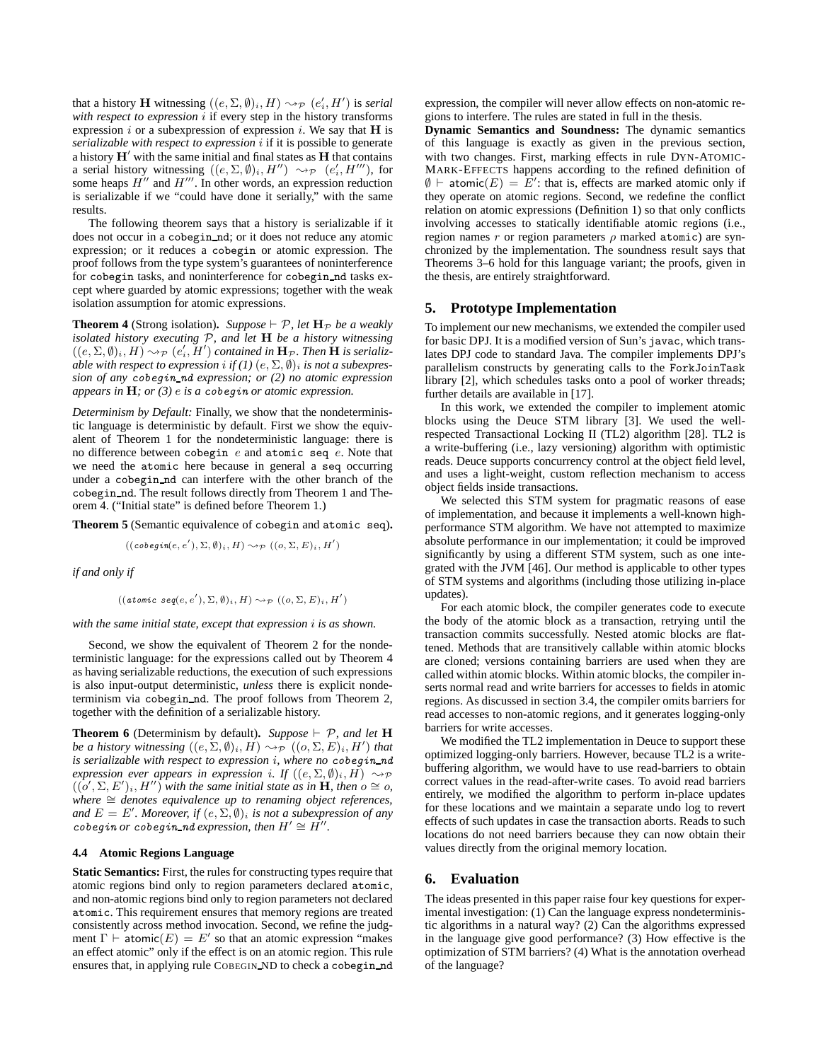that a history **H** witnessing  $((e, \Sigma, \emptyset)_i, H) \rightsquigarrow_{\mathcal{P}} (e'_i, H')$  is *serial with respect to expression* i if every step in the history transforms expression  $i$  or a subexpression of expression  $i$ . We say that  $H$  is *serializable with respect to expression* i if it is possible to generate a history  $H'$  with the same initial and final states as  $H$  that contains a serial history witnessing  $((e, \Sigma, \emptyset)_i, H'') \leadsto_{\mathcal{P}} (e'_i, H''')$ , for some heaps  $H''$  and  $H'''$ . In other words, an expression reduction is serializable if we "could have done it serially," with the same results.

The following theorem says that a history is serializable if it does not occur in a cobegin\_nd; or it does not reduce any atomic expression; or it reduces a cobegin or atomic expression. The proof follows from the type system's guarantees of noninterference for cobegin tasks, and noninterference for cobegin nd tasks except where guarded by atomic expressions; together with the weak isolation assumption for atomic expressions.

**Theorem 4** (Strong isolation). *Suppose*  $\vdash$  P, let  $H_p$  *be a weakly isolated history executing* P*, and let* H *be a history witnessing*  $((e, \Sigma, \emptyset)_i, H) \rightarrow_{\mathcal{P}} (e_i', H')$  contained in  $\mathbf{H}_{\mathcal{P}}$ . Then  $\mathbf{\dot{H}}$  is serializ*able with respect to expression i if*  $(I)(e, \Sigma, \emptyset)$ *i is not a subexpression of any* cobegin nd *expression; or (2) no atomic expression appears in* H*; or (3)* e *is a* cobegin *or atomic expression.*

*Determinism by Default:* Finally, we show that the nondeterministic language is deterministic by default. First we show the equivalent of Theorem 1 for the nondeterministic language: there is no difference between cobegin  $e$  and atomic seq  $e$ . Note that we need the atomic here because in general a seq occurring under a cobegin nd can interfere with the other branch of the cobegin nd. The result follows directly from Theorem 1 and Theorem 4. ("Initial state" is defined before Theorem 1.)

**Theorem 5** (Semantic equivalence of cobegin and atomic seq)**.**

$$
((\text{cobegin}(e, e'), \Sigma, \emptyset)_i, H) \rightsquigarrow_{\mathcal{P}} ((o, \Sigma, E)_i, H')
$$

*if and only if*

$$
((atomic \; seq(e, e'), \Sigma, \emptyset)_i, H) \rightsquigarrow_{\mathcal{P}} ((o, \Sigma, E)_i, H')
$$

*with the same initial state, except that expression* i *is as shown.*

Second, we show the equivalent of Theorem 2 for the nondeterministic language: for the expressions called out by Theorem 4 as having serializable reductions, the execution of such expressions is also input-output deterministic, *unless* there is explicit nondeterminism via cobegin nd. The proof follows from Theorem 2, together with the definition of a serializable history.

**Theorem 6** (Determinism by default). *Suppose*  $\vdash$  P, and let **H** *be a history witnessing*  $((e, \Sigma, \emptyset)_i, H) \leadsto_{\mathcal{P}} ( (o, \Sigma, E)_i, H')$  *that is serializable with respect to expression <i>i*, where no cobegin\_nd *expression ever appears in expression i. If*  $((e, \Sigma, \emptyset)_i, H) \sim_{\mathcal{P}}$  $((o', \Sigma, E')_i, H'')$  with the same initial state as in **H**, then  $o \cong o$ , *where*  $\cong$  *denotes equivalence up to renaming object references, and*  $E = E'$ . Moreover, if  $(e, \Sigma, \emptyset)$  *is not a subexpression of any* cobegin or cobegin nd expression, then  $H' \cong H''$ .

## **4.4 Atomic Regions Language**

**Static Semantics:** First, the rules for constructing types require that atomic regions bind only to region parameters declared atomic, and non-atomic regions bind only to region parameters not declared atomic. This requirement ensures that memory regions are treated consistently across method invocation. Second, we refine the judgment  $\Gamma \vdash \mathsf{atomic}(E) = E'$  so that an atomic expression "makes" an effect atomic" only if the effect is on an atomic region. This rule ensures that, in applying rule COBEGIN ND to check a cobegin nd expression, the compiler will never allow effects on non-atomic regions to interfere. The rules are stated in full in the thesis.

**Dynamic Semantics and Soundness:** The dynamic semantics of this language is exactly as given in the previous section, with two changes. First, marking effects in rule DYN-ATOMIC-MARK-EFFECTS happens according to the refined definition of  $\emptyset$   $\vdash$  atomic $(E) = E'$ : that is, effects are marked atomic only if they operate on atomic regions. Second, we redefine the conflict relation on atomic expressions (Definition 1) so that only conflicts involving accesses to statically identifiable atomic regions (i.e., region names r or region parameters  $\rho$  marked atomic) are synchronized by the implementation. The soundness result says that Theorems 3–6 hold for this language variant; the proofs, given in the thesis, are entirely straightforward.

## **5. Prototype Implementation**

To implement our new mechanisms, we extended the compiler used for basic DPJ. It is a modified version of Sun's javac, which translates DPJ code to standard Java. The compiler implements DPJ's parallelism constructs by generating calls to the ForkJoinTask library [2], which schedules tasks onto a pool of worker threads; further details are available in [17].

In this work, we extended the compiler to implement atomic blocks using the Deuce STM library [3]. We used the wellrespected Transactional Locking II (TL2) algorithm [28]. TL2 is a write-buffering (i.e., lazy versioning) algorithm with optimistic reads. Deuce supports concurrency control at the object field level, and uses a light-weight, custom reflection mechanism to access object fields inside transactions.

We selected this STM system for pragmatic reasons of ease of implementation, and because it implements a well-known highperformance STM algorithm. We have not attempted to maximize absolute performance in our implementation; it could be improved significantly by using a different STM system, such as one integrated with the JVM [46]. Our method is applicable to other types of STM systems and algorithms (including those utilizing in-place updates).

For each atomic block, the compiler generates code to execute the body of the atomic block as a transaction, retrying until the transaction commits successfully. Nested atomic blocks are flattened. Methods that are transitively callable within atomic blocks are cloned; versions containing barriers are used when they are called within atomic blocks. Within atomic blocks, the compiler inserts normal read and write barriers for accesses to fields in atomic regions. As discussed in section 3.4, the compiler omits barriers for read accesses to non-atomic regions, and it generates logging-only barriers for write accesses.

We modified the TL2 implementation in Deuce to support these optimized logging-only barriers. However, because TL2 is a writebuffering algorithm, we would have to use read-barriers to obtain correct values in the read-after-write cases. To avoid read barriers entirely, we modified the algorithm to perform in-place updates for these locations and we maintain a separate undo log to revert effects of such updates in case the transaction aborts. Reads to such locations do not need barriers because they can now obtain their values directly from the original memory location.

#### **6. Evaluation**

The ideas presented in this paper raise four key questions for experimental investigation: (1) Can the language express nondeterministic algorithms in a natural way? (2) Can the algorithms expressed in the language give good performance? (3) How effective is the optimization of STM barriers? (4) What is the annotation overhead of the language?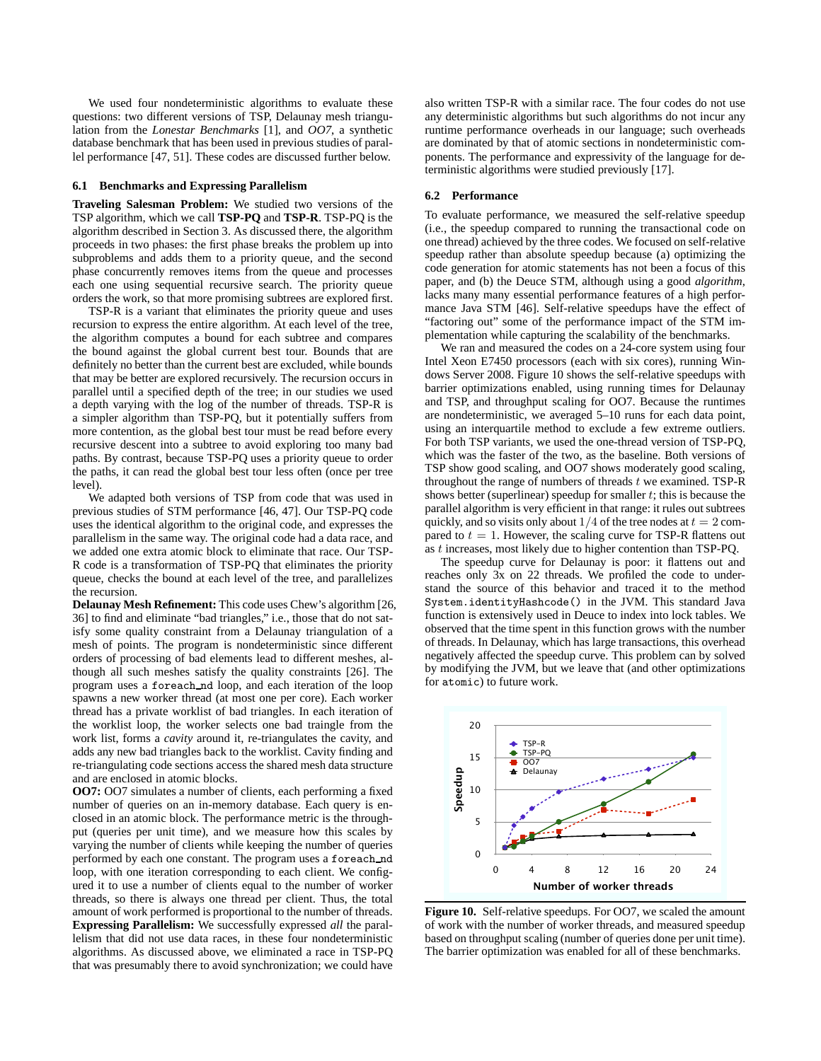We used four nondeterministic algorithms to evaluate these questions: two different versions of TSP, Delaunay mesh triangulation from the *Lonestar Benchmarks* [1], and *OO7*, a synthetic database benchmark that has been used in previous studies of parallel performance [47, 51]. These codes are discussed further below.

#### **6.1 Benchmarks and Expressing Parallelism**

**Traveling Salesman Problem:** We studied two versions of the TSP algorithm, which we call **TSP-PQ** and **TSP-R**. TSP-PQ is the algorithm described in Section 3. As discussed there, the algorithm proceeds in two phases: the first phase breaks the problem up into subproblems and adds them to a priority queue, and the second phase concurrently removes items from the queue and processes each one using sequential recursive search. The priority queue orders the work, so that more promising subtrees are explored first.

TSP-R is a variant that eliminates the priority queue and uses recursion to express the entire algorithm. At each level of the tree, the algorithm computes a bound for each subtree and compares the bound against the global current best tour. Bounds that are definitely no better than the current best are excluded, while bounds that may be better are explored recursively. The recursion occurs in parallel until a specified depth of the tree; in our studies we used a depth varying with the log of the number of threads. TSP-R is a simpler algorithm than TSP-PQ, but it potentially suffers from more contention, as the global best tour must be read before every recursive descent into a subtree to avoid exploring too many bad paths. By contrast, because TSP-PQ uses a priority queue to order the paths, it can read the global best tour less often (once per tree level).

We adapted both versions of TSP from code that was used in previous studies of STM performance [46, 47]. Our TSP-PQ code uses the identical algorithm to the original code, and expresses the parallelism in the same way. The original code had a data race, and we added one extra atomic block to eliminate that race. Our TSP-R code is a transformation of TSP-PQ that eliminates the priority queue, checks the bound at each level of the tree, and parallelizes the recursion.

**Delaunay Mesh Refinement:** This code uses Chew's algorithm [26, 36] to find and eliminate "bad triangles," i.e., those that do not satisfy some quality constraint from a Delaunay triangulation of a mesh of points. The program is nondeterministic since different orders of processing of bad elements lead to different meshes, although all such meshes satisfy the quality constraints [26]. The program uses a foreach nd loop, and each iteration of the loop spawns a new worker thread (at most one per core). Each worker thread has a private worklist of bad triangles. In each iteration of the worklist loop, the worker selects one bad traingle from the work list, forms a *cavity* around it, re-triangulates the cavity, and adds any new bad triangles back to the worklist. Cavity finding and re-triangulating code sections access the shared mesh data structure and are enclosed in atomic blocks.

**OO7:** OO7 simulates a number of clients, each performing a fixed number of queries on an in-memory database. Each query is enclosed in an atomic block. The performance metric is the throughput (queries per unit time), and we measure how this scales by varying the number of clients while keeping the number of queries performed by each one constant. The program uses a foreach nd loop, with one iteration corresponding to each client. We configured it to use a number of clients equal to the number of worker threads, so there is always one thread per client. Thus, the total amount of work performed is proportional to the number of threads. **Expressing Parallelism:** We successfully expressed *all* the parallelism that did not use data races, in these four nondeterministic algorithms. As discussed above, we eliminated a race in TSP-PQ that was presumably there to avoid synchronization; we could have

also written TSP-R with a similar race. The four codes do not use any deterministic algorithms but such algorithms do not incur any runtime performance overheads in our language; such overheads are dominated by that of atomic sections in nondeterministic components. The performance and expressivity of the language for deterministic algorithms were studied previously [17].

## **6.2 Performance**

To evaluate performance, we measured the self-relative speedup (i.e., the speedup compared to running the transactional code on one thread) achieved by the three codes. We focused on self-relative speedup rather than absolute speedup because (a) optimizing the code generation for atomic statements has not been a focus of this paper, and (b) the Deuce STM, although using a good *algorithm*, lacks many many essential performance features of a high performance Java STM [46]. Self-relative speedups have the effect of "factoring out" some of the performance impact of the STM implementation while capturing the scalability of the benchmarks.

We ran and measured the codes on a 24-core system using four Intel Xeon E7450 processors (each with six cores), running Windows Server 2008. Figure 10 shows the self-relative speedups with barrier optimizations enabled, using running times for Delaunay and TSP, and throughput scaling for OO7. Because the runtimes are nondeterministic, we averaged 5–10 runs for each data point, using an interquartile method to exclude a few extreme outliers. For both TSP variants, we used the one-thread version of TSP-PQ, which was the faster of the two, as the baseline. Both versions of TSP show good scaling, and OO7 shows moderately good scaling, throughout the range of numbers of threads  $t$  we examined. TSP-R shows better (superlinear) speedup for smaller  $t$ ; this is because the parallel algorithm is very efficient in that range: it rules out subtrees quickly, and so visits only about  $1/4$  of the tree nodes at  $t = 2$  compared to  $t = 1$ . However, the scaling curve for TSP-R flattens out as t increases, most likely due to higher contention than TSP-PQ.

The speedup curve for Delaunay is poor: it flattens out and reaches only 3x on 22 threads. We profiled the code to understand the source of this behavior and traced it to the method System.identityHashcode() in the JVM. This standard Java function is extensively used in Deuce to index into lock tables. We observed that the time spent in this function grows with the number of threads. In Delaunay, which has large transactions, this overhead negatively affected the speedup curve. This problem can by solved by modifying the JVM, but we leave that (and other optimizations for atomic) to future work.



**Figure 10.** Self-relative speedups. For OO7, we scaled the amount of work with the number of worker threads, and measured speedup based on throughput scaling (number of queries done per unit time). The barrier optimization was enabled for all of these benchmarks.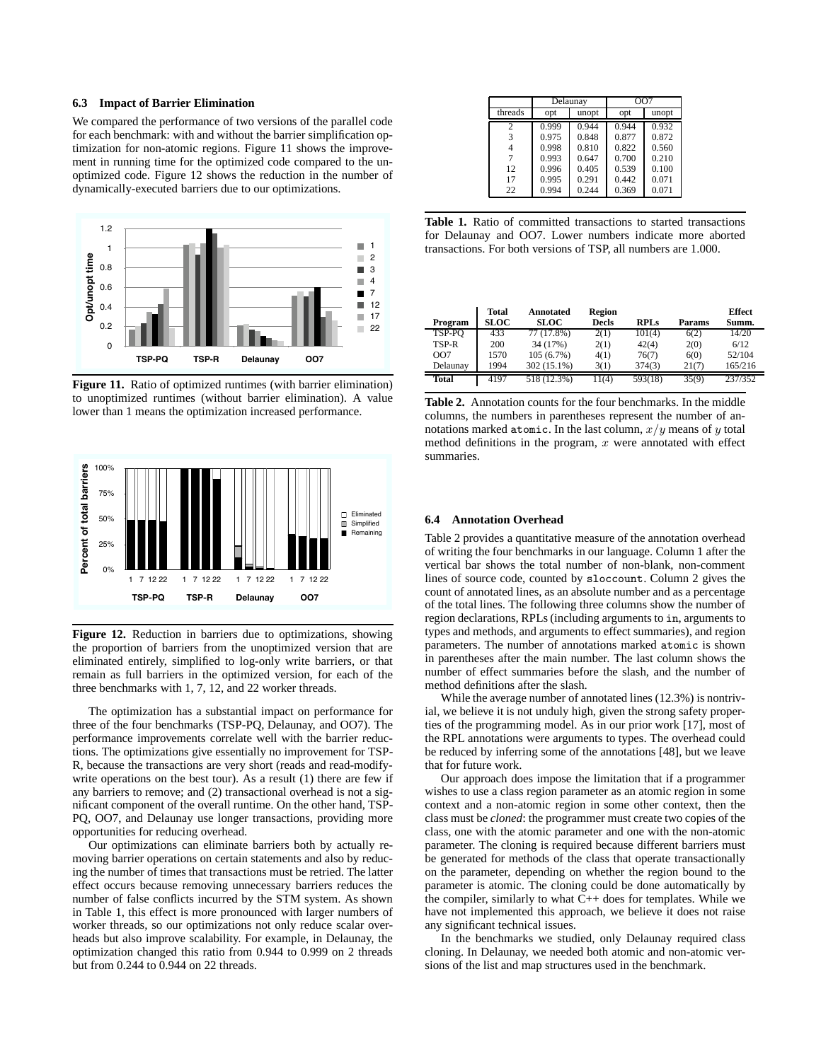## **6.3 Impact of Barrier Elimination**

We compared the performance of two versions of the parallel code for each benchmark: with and without the barrier simplification optimization for non-atomic regions. Figure 11 shows the improvement in running time for the optimized code compared to the unoptimized code. Figure 12 shows the reduction in the number of dynamically-executed barriers due to our optimizations.



**Figure 11.** Ratio of optimized runtimes (with barrier elimination) to unoptimized runtimes (without barrier elimination). A value lower than 1 means the optimization increased performance.



**Figure 12.** Reduction in barriers due to optimizations, showing the proportion of barriers from the unoptimized version that are eliminated entirely, simplified to log-only write barriers, or that remain as full barriers in the optimized version, for each of the three benchmarks with 1, 7, 12, and 22 worker threads.

The optimization has a substantial impact on performance for three of the four benchmarks (TSP-PQ, Delaunay, and OO7). The performance improvements correlate well with the barrier reductions. The optimizations give essentially no improvement for TSP-R, because the transactions are very short (reads and read-modifywrite operations on the best tour). As a result (1) there are few if any barriers to remove; and (2) transactional overhead is not a significant component of the overall runtime. On the other hand, TSP-PQ, OO7, and Delaunay use longer transactions, providing more opportunities for reducing overhead.

Our optimizations can eliminate barriers both by actually removing barrier operations on certain statements and also by reducing the number of times that transactions must be retried. The latter effect occurs because removing unnecessary barriers reduces the number of false conflicts incurred by the STM system. As shown in Table 1, this effect is more pronounced with larger numbers of worker threads, so our optimizations not only reduce scalar overheads but also improve scalability. For example, in Delaunay, the optimization changed this ratio from 0.944 to 0.999 on 2 threads but from 0.244 to 0.944 on 22 threads.

|                | Delaunay |       | OO7        |       |  |
|----------------|----------|-------|------------|-------|--|
| threads        | opt      | unopt | <b>opt</b> | unopt |  |
| $\overline{c}$ | 0.999    | 0.944 | 0.944      | 0.932 |  |
| 3              | 0.975    | 0.848 | 0.877      | 0.872 |  |
| 4              | 0.998    | 0.810 | 0.822      | 0.560 |  |
| 7              | 0.993    | 0.647 | 0.700      | 0.210 |  |
| 12             | 0.996    | 0.405 | 0.539      | 0.100 |  |
| 17             | 0.995    | 0.291 | 0.442      | 0.071 |  |
| 22             | 0.994    | 0.244 | 0.369      | 0.071 |  |

**Table 1.** Ratio of committed transactions to started transactions for Delaunay and OO7. Lower numbers indicate more aborted transactions. For both versions of TSP, all numbers are 1.000.

| Program      | <b>Total</b><br><b>SLOC</b> | Annotated<br><b>SLOC</b> | <b>Region</b><br><b>Decls</b> | <b>RPLs</b> | Params | <b>Effect</b><br>Summ. |
|--------------|-----------------------------|--------------------------|-------------------------------|-------------|--------|------------------------|
| TSP-PO       | 433                         | 77 (17.8%)               | 2(1)                          | 101(4)      | 6(2)   | 14/20                  |
| TSP-R        | 200                         | 34 (17%)                 | 2(1)                          | 42(4)       | 2(0)   | 6/12                   |
| OO7          | 1570                        | 105(6.7%)                | 4(1)                          | 76(7)       | 6(0)   | 52/104                 |
| Delaunay     | 1994                        | 302 (15.1%)              | 3(1)                          | 374(3)      | 21(7)  | 165/216                |
| <b>Total</b> | 4197                        | 518 (12.3%)              | 11(4)                         | 593(18)     | 35(9)  | 237/352                |

**Table 2.** Annotation counts for the four benchmarks. In the middle columns, the numbers in parentheses represent the number of annotations marked atomic. In the last column,  $x/y$  means of  $y$  total method definitions in the program,  $x$  were annotated with effect summaries.

#### **6.4 Annotation Overhead**

Table 2 provides a quantitative measure of the annotation overhead of writing the four benchmarks in our language. Column 1 after the vertical bar shows the total number of non-blank, non-comment lines of source code, counted by sloccount. Column 2 gives the count of annotated lines, as an absolute number and as a percentage of the total lines. The following three columns show the number of region declarations, RPLs (including arguments to in, arguments to types and methods, and arguments to effect summaries), and region parameters. The number of annotations marked atomic is shown in parentheses after the main number. The last column shows the number of effect summaries before the slash, and the number of method definitions after the slash.

While the average number of annotated lines (12.3%) is nontrivial, we believe it is not unduly high, given the strong safety properties of the programming model. As in our prior work [17], most of the RPL annotations were arguments to types. The overhead could be reduced by inferring some of the annotations [48], but we leave that for future work.

Our approach does impose the limitation that if a programmer wishes to use a class region parameter as an atomic region in some context and a non-atomic region in some other context, then the class must be *cloned*: the programmer must create two copies of the class, one with the atomic parameter and one with the non-atomic parameter. The cloning is required because different barriers must be generated for methods of the class that operate transactionally on the parameter, depending on whether the region bound to the parameter is atomic. The cloning could be done automatically by the compiler, similarly to what C++ does for templates. While we have not implemented this approach, we believe it does not raise any significant technical issues.

In the benchmarks we studied, only Delaunay required class cloning. In Delaunay, we needed both atomic and non-atomic versions of the list and map structures used in the benchmark.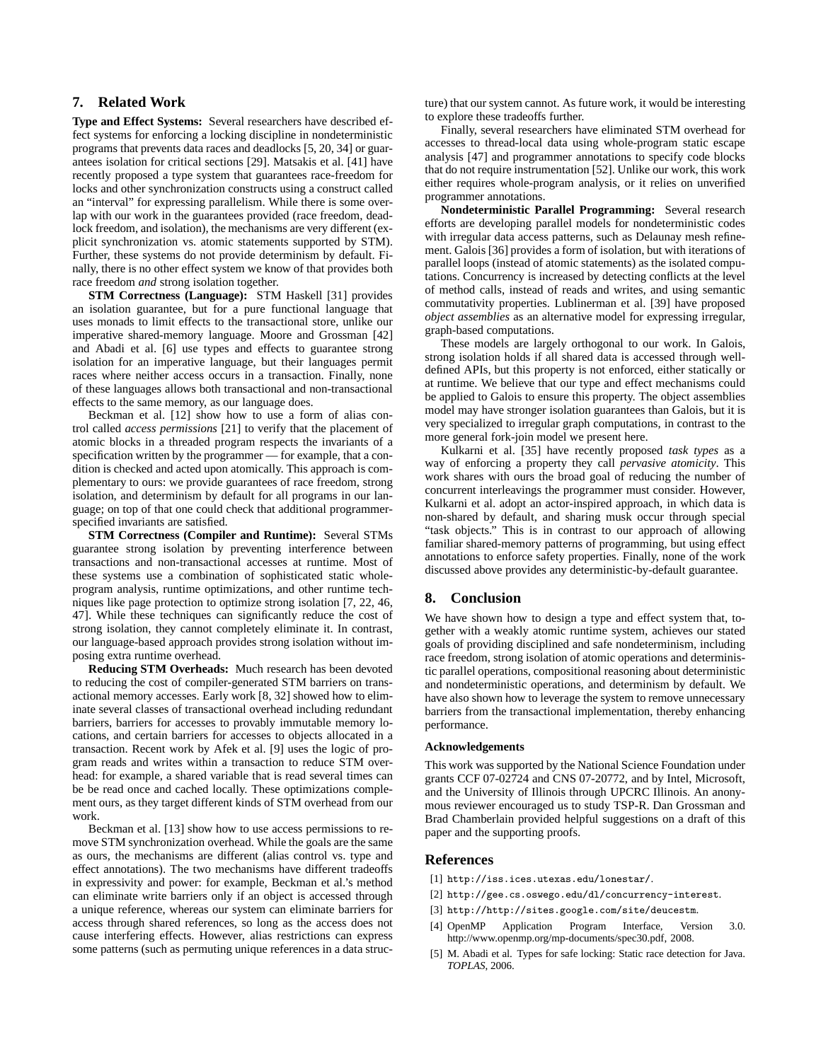# **7. Related Work**

**Type and Effect Systems:** Several researchers have described effect systems for enforcing a locking discipline in nondeterministic programs that prevents data races and deadlocks [5, 20, 34] or guarantees isolation for critical sections [29]. Matsakis et al. [41] have recently proposed a type system that guarantees race-freedom for locks and other synchronization constructs using a construct called an "interval" for expressing parallelism. While there is some overlap with our work in the guarantees provided (race freedom, deadlock freedom, and isolation), the mechanisms are very different (explicit synchronization vs. atomic statements supported by STM). Further, these systems do not provide determinism by default. Finally, there is no other effect system we know of that provides both race freedom *and* strong isolation together.

**STM Correctness (Language):** STM Haskell [31] provides an isolation guarantee, but for a pure functional language that uses monads to limit effects to the transactional store, unlike our imperative shared-memory language. Moore and Grossman [42] and Abadi et al. [6] use types and effects to guarantee strong isolation for an imperative language, but their languages permit races where neither access occurs in a transaction. Finally, none of these languages allows both transactional and non-transactional effects to the same memory, as our language does.

Beckman et al. [12] show how to use a form of alias control called *access permissions* [21] to verify that the placement of atomic blocks in a threaded program respects the invariants of a specification written by the programmer — for example, that a condition is checked and acted upon atomically. This approach is complementary to ours: we provide guarantees of race freedom, strong isolation, and determinism by default for all programs in our language; on top of that one could check that additional programmerspecified invariants are satisfied.

**STM Correctness (Compiler and Runtime):** Several STMs guarantee strong isolation by preventing interference between transactions and non-transactional accesses at runtime. Most of these systems use a combination of sophisticated static wholeprogram analysis, runtime optimizations, and other runtime techniques like page protection to optimize strong isolation [7, 22, 46, 47]. While these techniques can significantly reduce the cost of strong isolation, they cannot completely eliminate it. In contrast, our language-based approach provides strong isolation without imposing extra runtime overhead.

**Reducing STM Overheads:** Much research has been devoted to reducing the cost of compiler-generated STM barriers on transactional memory accesses. Early work [8, 32] showed how to eliminate several classes of transactional overhead including redundant barriers, barriers for accesses to provably immutable memory locations, and certain barriers for accesses to objects allocated in a transaction. Recent work by Afek et al. [9] uses the logic of program reads and writes within a transaction to reduce STM overhead: for example, a shared variable that is read several times can be be read once and cached locally. These optimizations complement ours, as they target different kinds of STM overhead from our work.

Beckman et al. [13] show how to use access permissions to remove STM synchronization overhead. While the goals are the same as ours, the mechanisms are different (alias control vs. type and effect annotations). The two mechanisms have different tradeoffs in expressivity and power: for example, Beckman et al.'s method can eliminate write barriers only if an object is accessed through a unique reference, whereas our system can eliminate barriers for access through shared references, so long as the access does not cause interfering effects. However, alias restrictions can express some patterns (such as permuting unique references in a data structure) that our system cannot. As future work, it would be interesting to explore these tradeoffs further.

Finally, several researchers have eliminated STM overhead for accesses to thread-local data using whole-program static escape analysis [47] and programmer annotations to specify code blocks that do not require instrumentation [52]. Unlike our work, this work either requires whole-program analysis, or it relies on unverified programmer annotations.

**Nondeterministic Parallel Programming:** Several research efforts are developing parallel models for nondeterministic codes with irregular data access patterns, such as Delaunay mesh refinement. Galois [36] provides a form of isolation, but with iterations of parallel loops (instead of atomic statements) as the isolated computations. Concurrency is increased by detecting conflicts at the level of method calls, instead of reads and writes, and using semantic commutativity properties. Lublinerman et al. [39] have proposed *object assemblies* as an alternative model for expressing irregular, graph-based computations.

These models are largely orthogonal to our work. In Galois, strong isolation holds if all shared data is accessed through welldefined APIs, but this property is not enforced, either statically or at runtime. We believe that our type and effect mechanisms could be applied to Galois to ensure this property. The object assemblies model may have stronger isolation guarantees than Galois, but it is very specialized to irregular graph computations, in contrast to the more general fork-join model we present here.

Kulkarni et al. [35] have recently proposed *task types* as a way of enforcing a property they call *pervasive atomicity*. This work shares with ours the broad goal of reducing the number of concurrent interleavings the programmer must consider. However, Kulkarni et al. adopt an actor-inspired approach, in which data is non-shared by default, and sharing musk occur through special "task objects." This is in contrast to our approach of allowing familiar shared-memory patterns of programming, but using effect annotations to enforce safety properties. Finally, none of the work discussed above provides any deterministic-by-default guarantee.

## **8. Conclusion**

We have shown how to design a type and effect system that, together with a weakly atomic runtime system, achieves our stated goals of providing disciplined and safe nondeterminism, including race freedom, strong isolation of atomic operations and deterministic parallel operations, compositional reasoning about deterministic and nondeterministic operations, and determinism by default. We have also shown how to leverage the system to remove unnecessary barriers from the transactional implementation, thereby enhancing performance.

#### **Acknowledgements**

This work was supported by the National Science Foundation under grants CCF 07-02724 and CNS 07-20772, and by Intel, Microsoft, and the University of Illinois through UPCRC Illinois. An anonymous reviewer encouraged us to study TSP-R. Dan Grossman and Brad Chamberlain provided helpful suggestions on a draft of this paper and the supporting proofs.

# **References**

- [1] http://iss.ices.utexas.edu/lonestar/.
- [2] http://gee.cs.oswego.edu/dl/concurrency-interest.
- [3] http://http://sites.google.com/site/deucestm.
- [4] OpenMP Application Program Interface, Version 3.0. http://www.openmp.org/mp-documents/spec30.pdf, 2008.
- [5] M. Abadi et al. Types for safe locking: Static race detection for Java. *TOPLAS*, 2006.